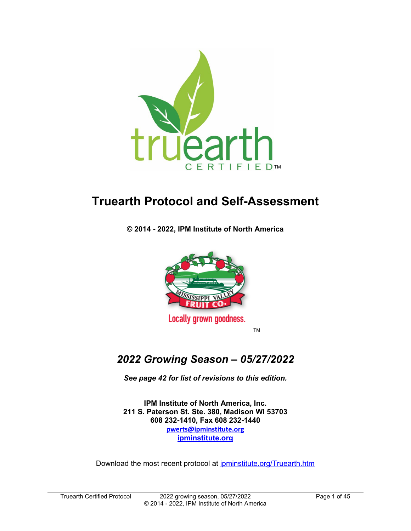

# **Truearth Protocol and Self-Assessment**

**© 2014 - 2022, IPM Institute of North America**



TM

# *2022 Growing Season – 05/27/2022*

*See page 42 for list of revisions to this edition.*

**IPM Institute of North America, Inc. 211 S. Paterson St. Ste. 380, Madison WI 53703 608 232-1410, Fax 608 232-1440 [pwerts@ipminstitute.org](mailto:pwerts@ipminstitute.org) [ipminstitute.org](http://www.ipminstitute.org/)**

Download the most recent protocol at *ipminstitute.org*/Truearth.htm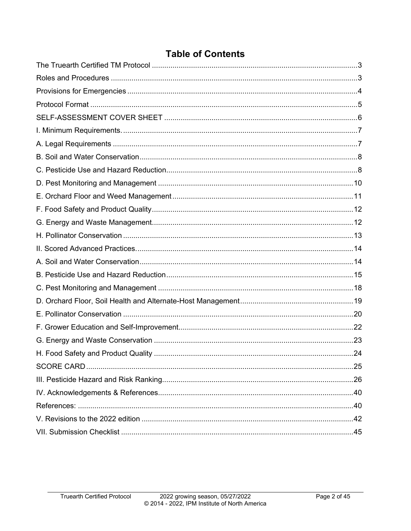# **Table of Contents**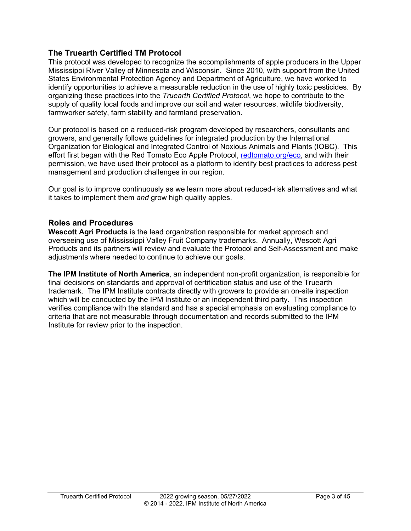### <span id="page-2-0"></span>**The Truearth Certified TM Protocol**

This protocol was developed to recognize the accomplishments of apple producers in the Upper Mississippi River Valley of Minnesota and Wisconsin. Since 2010, with support from the United States Environmental Protection Agency and Department of Agriculture, we have worked to identify opportunities to achieve a measurable reduction in the use of highly toxic pesticides. By organizing these practices into the *Truearth Certified Protocol*, we hope to contribute to the supply of quality local foods and improve our soil and water resources, wildlife biodiversity, farmworker safety, farm stability and farmland preservation.

Our protocol is based on a reduced-risk program developed by researchers, consultants and growers, and generally follows guidelines for integrated production by the International Organization for Biological and Integrated Control of Noxious Animals and Plants (IOBC). This effort first began with the Red Tomato Eco Apple Protocol, [redtomato.org/eco,](http://www.redtomato.org/eco/) and with their permission, we have used their protocol as a platform to identify best practices to address pest management and production challenges in our region.

Our goal is to improve continuously as we learn more about reduced-risk alternatives and what it takes to implement them *and* grow high quality apples.

### <span id="page-2-1"></span>**Roles and Procedures**

**Wescott Agri Products** is the lead organization responsible for market approach and overseeing use of Mississippi Valley Fruit Company trademarks. Annually, Wescott Agri Products and its partners will review and evaluate the Protocol and Self-Assessment and make adjustments where needed to continue to achieve our goals.

**The IPM Institute of North America**, an independent non-profit organization, is responsible for final decisions on standards and approval of certification status and use of the Truearth trademark. The IPM Institute contracts directly with growers to provide an on-site inspection which will be conducted by the IPM Institute or an independent third party. This inspection verifies compliance with the standard and has a special emphasis on evaluating compliance to criteria that are not measurable through documentation and records submitted to the IPM Institute for review prior to the inspection.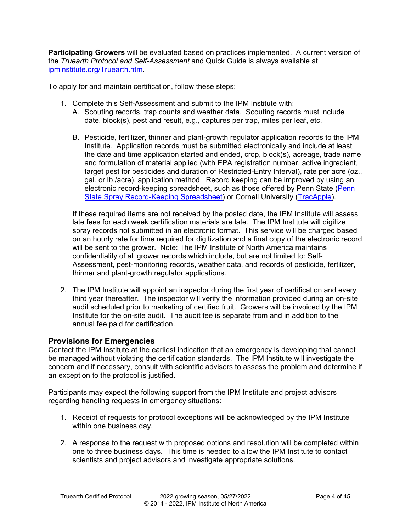**Participating Growers** will be evaluated based on practices implemented. A current version of the *Truearth Protocol and Self-Assessment* and Quick Guide is always available at [ipminstitute.org/Truearth.htm.](http://www.ipminstitute.org/Truearth.htm)

To apply for and maintain certification, follow these steps:

- 1. Complete this Self-Assessment and submit to the IPM Institute with:
	- A. Scouting records, trap counts and weather data. Scouting records must include date, block(s), pest and result, e.g., captures per trap, mites per leaf, etc.
	- B. Pesticide, fertilizer, thinner and plant-growth regulator application records to the IPM Institute. Application records must be submitted electronically and include at least the date and time application started and ended, crop, block(s), acreage, trade name and formulation of material applied (with EPA registration number, active ingredient, target pest for pesticides and duration of Restricted-Entry Interval), rate per acre (oz., gal. or lb./acre), application method. Record keeping can be improved by using an electronic record-keeping spreadsheet, such as those offered by Penn State (Penn [State Spray Record-Keeping Spreadsheet\)](https://agsci.psu.edu/research/centers-facilities/extension/frec/resources/spray-record-keeping/orchard-spray-record-keeping) or Cornell University [\(TracApple\)](http://store.ctl.cornell.edu/products/tracapple).

If these required items are not received by the posted date, the IPM Institute will assess late fees for each week certification materials are late. The IPM Institute will digitize spray records not submitted in an electronic format. This service will be charged based on an hourly rate for time required for digitization and a final copy of the electronic record will be sent to the grower. Note: The IPM Institute of North America maintains confidentiality of all grower records which include, but are not limited to: Self-Assessment, pest-monitoring records, weather data, and records of pesticide, fertilizer, thinner and plant-growth regulator applications.

2. The IPM Institute will appoint an inspector during the first year of certification and every third year thereafter. The inspector will verify the information provided during an on-site audit scheduled prior to marketing of certified fruit. Growers will be invoiced by the IPM Institute for the on-site audit. The audit fee is separate from and in addition to the annual fee paid for certification.

#### <span id="page-3-0"></span>**Provisions for Emergencies**

Contact the IPM Institute at the earliest indication that an emergency is developing that cannot be managed without violating the certification standards. The IPM Institute will investigate the concern and if necessary, consult with scientific advisors to assess the problem and determine if an exception to the protocol is justified.

Participants may expect the following support from the IPM Institute and project advisors regarding handling requests in emergency situations:

- 1. Receipt of requests for protocol exceptions will be acknowledged by the IPM Institute within one business day.
- 2. A response to the request with proposed options and resolution will be completed within one to three business days. This time is needed to allow the IPM Institute to contact scientists and project advisors and investigate appropriate solutions.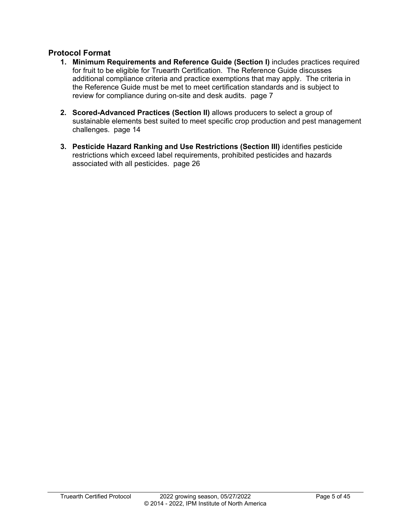#### <span id="page-4-0"></span>**Protocol Format**

- **1. Minimum Requirements and Reference Guide (Section I)** includes practices required for fruit to be eligible for Truearth Certification. The Reference Guide discusses additional compliance criteria and practice exemptions that may apply. The criteria in the Reference Guide must be met to meet certification standards and is subject to review for compliance during on-site and desk audits. page 7
- **2. Scored-Advanced Practices (Section II)** allows producers to select a group of sustainable elements best suited to meet specific crop production and pest management challenges. page 14
- **3. Pesticide Hazard Ranking and Use Restrictions (Section III)** identifies pesticide restrictions which exceed label requirements, prohibited pesticides and hazards associated with all pesticides. page 26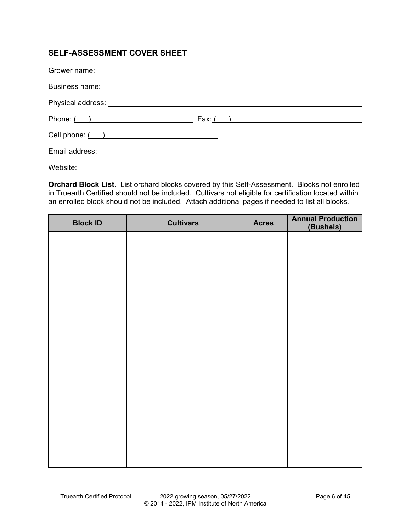# <span id="page-5-0"></span>**SELF-ASSESSMENT COVER SHEET**

| Phone: $( )$ Fax: $( )$ |
|-------------------------|
|                         |
|                         |
|                         |

**Orchard Block List.** List orchard blocks covered by this Self-Assessment. Blocks not enrolled in Truearth Certified should not be included. Cultivars not eligible for certification located within an enrolled block should not be included. Attach additional pages if needed to list all blocks.

| <b>Block ID</b> | <b>Cultivars</b> | <b>Acres</b> | <b>Annual Production</b><br>(Bushels) |
|-----------------|------------------|--------------|---------------------------------------|
|                 |                  |              |                                       |
|                 |                  |              |                                       |
|                 |                  |              |                                       |
|                 |                  |              |                                       |
|                 |                  |              |                                       |
|                 |                  |              |                                       |
|                 |                  |              |                                       |
|                 |                  |              |                                       |
|                 |                  |              |                                       |
|                 |                  |              |                                       |
|                 |                  |              |                                       |
|                 |                  |              |                                       |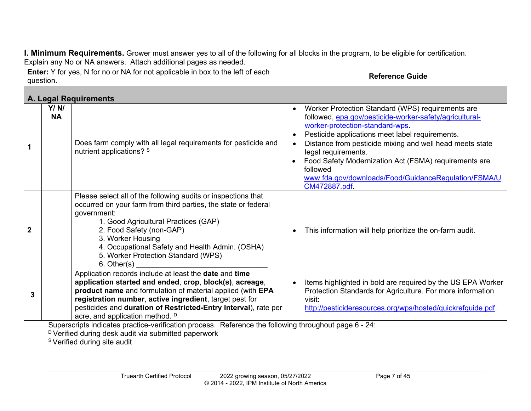**I. Minimum Requirements.** Grower must answer yes to all of the following for all blocks in the program, to be eligible for certification. Explain any No or NA answers. Attach additional pages as needed.

<span id="page-6-0"></span>

| Enter: Y for yes, N for no or NA for not applicable in box to the left of each<br>question. |                   |                                                                                                                                                                                                                                                                                                                                                       | <b>Reference Guide</b>                                                                                                                                                                                                                                                                                                                                                                                                                           |
|---------------------------------------------------------------------------------------------|-------------------|-------------------------------------------------------------------------------------------------------------------------------------------------------------------------------------------------------------------------------------------------------------------------------------------------------------------------------------------------------|--------------------------------------------------------------------------------------------------------------------------------------------------------------------------------------------------------------------------------------------------------------------------------------------------------------------------------------------------------------------------------------------------------------------------------------------------|
|                                                                                             |                   | A. Legal Requirements                                                                                                                                                                                                                                                                                                                                 |                                                                                                                                                                                                                                                                                                                                                                                                                                                  |
| 1                                                                                           | Y/N/<br><b>NA</b> | Does farm comply with all legal requirements for pesticide and<br>nutrient applications? S                                                                                                                                                                                                                                                            | Worker Protection Standard (WPS) requirements are<br>$\bullet$<br>followed, epa.gov/pesticide-worker-safety/agricultural-<br>worker-protection-standard-wps.<br>Pesticide applications meet label requirements.<br>Distance from pesticide mixing and well head meets state<br>legal requirements.<br>Food Safety Modernization Act (FSMA) requirements are<br>followed<br>www.fda.gov/downloads/Food/GuidanceRegulation/FSMA/U<br>CM472887.pdf. |
| $\mathbf 2$                                                                                 |                   | Please select all of the following audits or inspections that<br>occurred on your farm from third parties, the state or federal<br>government:<br>1. Good Agricultural Practices (GAP)<br>2. Food Safety (non-GAP)<br>3. Worker Housing<br>4. Occupational Safety and Health Admin. (OSHA)<br>5. Worker Protection Standard (WPS)<br>$6.$ Other $(s)$ | This information will help prioritize the on-farm audit.                                                                                                                                                                                                                                                                                                                                                                                         |
| 3                                                                                           |                   | Application records include at least the date and time<br>application started and ended, crop, block(s), acreage,<br>product name and formulation of material applied (with EPA<br>registration number, active ingredient, target pest for<br>pesticides and duration of Restricted-Entry Interval), rate per<br>acre, and application method. D      | Items highlighted in bold are required by the US EPA Worker<br>$\bullet$<br>Protection Standards for Agriculture. For more information<br>visit:<br>http://pesticideresources.org/wps/hosted/quickrefguide.pdf.                                                                                                                                                                                                                                  |

<span id="page-6-1"></span>Superscripts indicates practice-verification process. Reference the following throughout page 6 - 24:

D Verified during desk audit via submitted paperwork

S Verified during site audit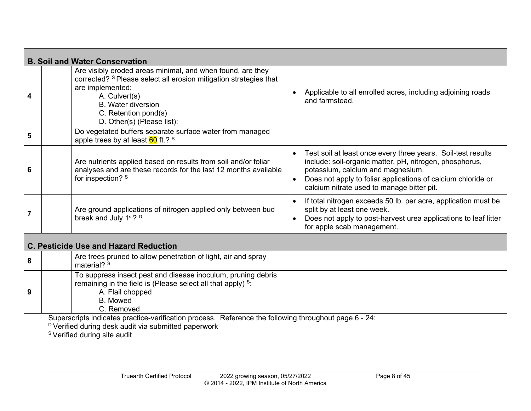<span id="page-7-0"></span>

|                | <b>B. Soil and Water Conservation</b>                                                                                                                                                                                                                                                                 |           |                                                                                                                                                                                                                                                                            |
|----------------|-------------------------------------------------------------------------------------------------------------------------------------------------------------------------------------------------------------------------------------------------------------------------------------------------------|-----------|----------------------------------------------------------------------------------------------------------------------------------------------------------------------------------------------------------------------------------------------------------------------------|
| 4              | Are visibly eroded areas minimal, and when found, are they<br>corrected? <sup>S</sup> Please select all erosion mitigation strategies that<br>are implemented:<br>A. Culvert(s)<br><b>B.</b> Water diversion<br>C. Retention pond(s)<br>D. Other(s) (Please list):                                    |           | Applicable to all enrolled acres, including adjoining roads<br>and farmstead.                                                                                                                                                                                              |
| 5              | Do vegetated buffers separate surface water from managed<br>apple trees by at least $60$ ft.? $s$                                                                                                                                                                                                     |           |                                                                                                                                                                                                                                                                            |
| 6              | Are nutrients applied based on results from soil and/or foliar<br>analyses and are these records for the last 12 months available<br>for inspection? S                                                                                                                                                | $\bullet$ | Test soil at least once every three years. Soil-test results<br>include: soil-organic matter, pH, nitrogen, phosphorus,<br>potassium, calcium and magnesium.<br>Does not apply to foliar applications of calcium chloride or<br>calcium nitrate used to manage bitter pit. |
| $\overline{7}$ | Are ground applications of nitrogen applied only between bud<br>break and July 1 <sup>st</sup> ? <sup>D</sup>                                                                                                                                                                                         | $\bullet$ | If total nitrogen exceeds 50 lb. per acre, application must be<br>split by at least one week.<br>Does not apply to post-harvest urea applications to leaf litter<br>for apple scab management.                                                                             |
|                | <b>C. Pesticide Use and Hazard Reduction</b>                                                                                                                                                                                                                                                          |           |                                                                                                                                                                                                                                                                            |
| 8              | Are trees pruned to allow penetration of light, air and spray<br>material? S                                                                                                                                                                                                                          |           |                                                                                                                                                                                                                                                                            |
| 9              | To suppress insect pest and disease inoculum, pruning debris<br>remaining in the field is (Please select all that apply) <sup>s</sup> :<br>A. Flail chopped<br><b>B.</b> Mowed<br>C. Removed<br>Superscripts indicates practice-verification process. Reference the following throughout page 6 - 24: |           |                                                                                                                                                                                                                                                                            |

<span id="page-7-1"></span> $^{\text{\tiny{\text{D}}}}$ Verified during desk audit via submitted paperwork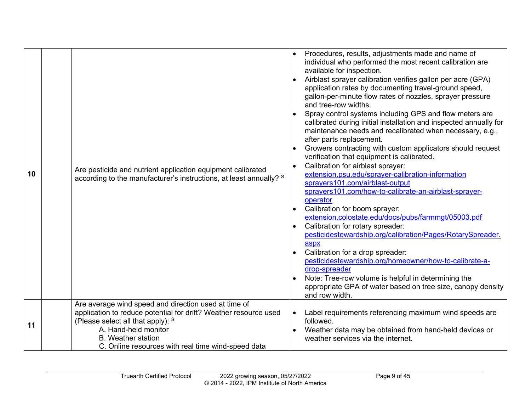| 10 | Are pesticide and nutrient application equipment calibrated<br>according to the manufacturer's instructions, at least annually? S                                                                                                                                        | Procedures, results, adjustments made and name of<br>individual who performed the most recent calibration are<br>available for inspection.<br>Airblast sprayer calibration verifies gallon per acre (GPA)<br>application rates by documenting travel-ground speed,<br>gallon-per-minute flow rates of nozzles, sprayer pressure<br>and tree-row widths.<br>Spray control systems including GPS and flow meters are<br>calibrated during initial installation and inspected annually for<br>maintenance needs and recalibrated when necessary, e.g.,<br>after parts replacement.<br>Growers contracting with custom applicators should request<br>verification that equipment is calibrated.<br>Calibration for airblast sprayer:<br>extension.psu.edu/sprayer-calibration-information<br>sprayers101.com/airblast-output<br>sprayers101.com/how-to-calibrate-an-airblast-sprayer-<br>operator<br>Calibration for boom sprayer:<br>extension.colostate.edu/docs/pubs/farmmqt/05003.pdf<br>Calibration for rotary spreader:<br>pesticidestewardship.org/calibration/Pages/RotarySpreader.<br>aspx<br>Calibration for a drop spreader:<br>pesticidestewardship.org/homeowner/how-to-calibrate-a-<br>drop-spreader<br>Note: Tree-row volume is helpful in determining the<br>appropriate GPA of water based on tree size, canopy density<br>and row width. |
|----|--------------------------------------------------------------------------------------------------------------------------------------------------------------------------------------------------------------------------------------------------------------------------|--------------------------------------------------------------------------------------------------------------------------------------------------------------------------------------------------------------------------------------------------------------------------------------------------------------------------------------------------------------------------------------------------------------------------------------------------------------------------------------------------------------------------------------------------------------------------------------------------------------------------------------------------------------------------------------------------------------------------------------------------------------------------------------------------------------------------------------------------------------------------------------------------------------------------------------------------------------------------------------------------------------------------------------------------------------------------------------------------------------------------------------------------------------------------------------------------------------------------------------------------------------------------------------------------------------------------------------------------------|
| 11 | Are average wind speed and direction used at time of<br>application to reduce potential for drift? Weather resource used<br>(Please select all that apply): S<br>A. Hand-held monitor<br><b>B.</b> Weather station<br>C. Online resources with real time wind-speed data | Label requirements referencing maximum wind speeds are<br>followed.<br>Weather data may be obtained from hand-held devices or<br>weather services via the internet.                                                                                                                                                                                                                                                                                                                                                                                                                                                                                                                                                                                                                                                                                                                                                                                                                                                                                                                                                                                                                                                                                                                                                                                    |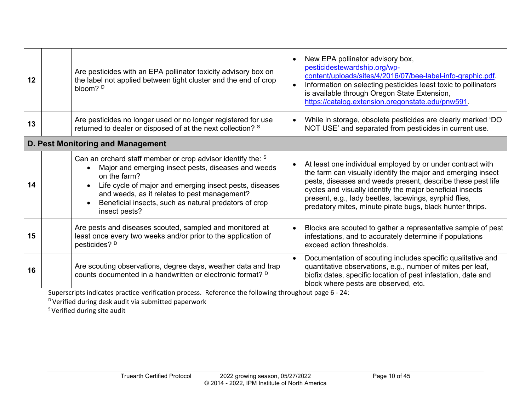| 12 | Are pesticides with an EPA pollinator toxicity advisory box on<br>the label not applied between tight cluster and the end of crop<br>bloom? $D$                                                                                                                                                                         |           | New EPA pollinator advisory box,<br>pesticidestewardship.org/wp-<br>content/uploads/sites/4/2016/07/bee-label-info-graphic.pdf.<br>Information on selecting pesticides least toxic to pollinators<br>is available through Oregon State Extension,<br>https://catalog.extension.oregonstate.edu/pnw591.                                                                        |
|----|-------------------------------------------------------------------------------------------------------------------------------------------------------------------------------------------------------------------------------------------------------------------------------------------------------------------------|-----------|-------------------------------------------------------------------------------------------------------------------------------------------------------------------------------------------------------------------------------------------------------------------------------------------------------------------------------------------------------------------------------|
| 13 | Are pesticides no longer used or no longer registered for use<br>returned to dealer or disposed of at the next collection? S                                                                                                                                                                                            | $\bullet$ | While in storage, obsolete pesticides are clearly marked 'DO<br>NOT USE' and separated from pesticides in current use.                                                                                                                                                                                                                                                        |
|    | D. Pest Monitoring and Management                                                                                                                                                                                                                                                                                       |           |                                                                                                                                                                                                                                                                                                                                                                               |
| 14 | Can an orchard staff member or crop advisor identify the: S<br>Major and emerging insect pests, diseases and weeds<br>on the farm?<br>Life cycle of major and emerging insect pests, diseases<br>and weeds, as it relates to pest management?<br>Beneficial insects, such as natural predators of crop<br>insect pests? |           | At least one individual employed by or under contract with<br>the farm can visually identify the major and emerging insect<br>pests, diseases and weeds present, describe these pest life<br>cycles and visually identify the major beneficial insects<br>present, e.g., lady beetles, lacewings, syrphid flies,<br>predatory mites, minute pirate bugs, black hunter thrips. |
| 15 | Are pests and diseases scouted, sampled and monitored at<br>least once every two weeks and/or prior to the application of<br>pesticides? D                                                                                                                                                                              | $\bullet$ | Blocks are scouted to gather a representative sample of pest<br>infestations, and to accurately determine if populations<br>exceed action thresholds.                                                                                                                                                                                                                         |
| 16 | Are scouting observations, degree days, weather data and trap<br>counts documented in a handwritten or electronic format? <sup>D</sup>                                                                                                                                                                                  |           | Documentation of scouting includes specific qualitative and<br>quantitative observations, e.g., number of mites per leaf,<br>biofix dates, specific location of pest infestation, date and<br>block where pests are observed, etc.                                                                                                                                            |

<span id="page-9-0"></span><sup>D</sup> Verified during desk audit via submitted paperwork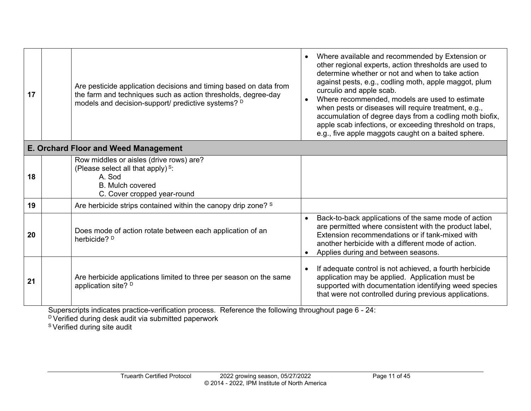| 17                                          |  | Are pesticide application decisions and timing based on data from<br>the farm and techniques such as action thresholds, degree-day<br>models and decision-support/ predictive systems? D | Where available and recommended by Extension or<br>other regional experts, action thresholds are used to<br>determine whether or not and when to take action<br>against pests, e.g., codling moth, apple maggot, plum<br>curculio and apple scab.<br>Where recommended, models are used to estimate<br>when pests or diseases will require treatment, e.g.,<br>accumulation of degree days from a codling moth biofix,<br>apple scab infections, or exceeding threshold on traps,<br>e.g., five apple maggots caught on a baited sphere. |
|---------------------------------------------|--|------------------------------------------------------------------------------------------------------------------------------------------------------------------------------------------|------------------------------------------------------------------------------------------------------------------------------------------------------------------------------------------------------------------------------------------------------------------------------------------------------------------------------------------------------------------------------------------------------------------------------------------------------------------------------------------------------------------------------------------|
| <b>E. Orchard Floor and Weed Management</b> |  |                                                                                                                                                                                          |                                                                                                                                                                                                                                                                                                                                                                                                                                                                                                                                          |
| 18                                          |  | Row middles or aisles (drive rows) are?<br>(Please select all that apply) $s$ :<br>A. Sod<br><b>B.</b> Mulch covered<br>C. Cover cropped year-round                                      |                                                                                                                                                                                                                                                                                                                                                                                                                                                                                                                                          |
| 19                                          |  | Are herbicide strips contained within the canopy drip zone? S                                                                                                                            |                                                                                                                                                                                                                                                                                                                                                                                                                                                                                                                                          |
| 20                                          |  | Does mode of action rotate between each application of an<br>herbicide? <sup>D</sup>                                                                                                     | Back-to-back applications of the same mode of action<br>are permitted where consistent with the product label,<br>Extension recommendations or if tank-mixed with<br>another herbicide with a different mode of action.<br>Applies during and between seasons.                                                                                                                                                                                                                                                                           |
| 21                                          |  | Are herbicide applications limited to three per season on the same<br>application site? <sup>D</sup>                                                                                     | If adequate control is not achieved, a fourth herbicide<br>application may be applied. Application must be<br>supported with documentation identifying weed species<br>that were not controlled during previous applications.                                                                                                                                                                                                                                                                                                            |

<span id="page-10-0"></span> $^{\text{\tiny{\text{D}}}}$ Verified during desk audit via submitted paperwork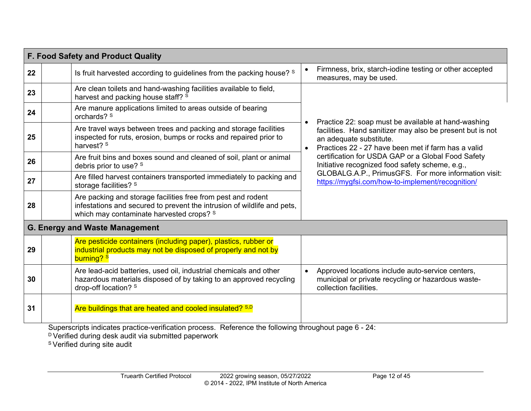<span id="page-11-0"></span>

|    | F. Food Safety and Product Quality                                                                                                                                                  |                                                                                                                                               |
|----|-------------------------------------------------------------------------------------------------------------------------------------------------------------------------------------|-----------------------------------------------------------------------------------------------------------------------------------------------|
| 22 | Is fruit harvested according to guidelines from the packing house? S                                                                                                                | Firmness, brix, starch-iodine testing or other accepted<br>$\bullet$<br>measures, may be used.                                                |
| 23 | Are clean toilets and hand-washing facilities available to field,<br>harvest and packing house staff? S                                                                             |                                                                                                                                               |
| 24 | Are manure applications limited to areas outside of bearing<br>orchards? <sup>S</sup>                                                                                               | Practice 22: soap must be available at hand-washing                                                                                           |
| 25 | Are travel ways between trees and packing and storage facilities<br>inspected for ruts, erosion, bumps or rocks and repaired prior to<br>harvest? <sup>S</sup>                      | facilities. Hand sanitizer may also be present but is not<br>an adequate substitute.<br>Practices 22 - 27 have been met if farm has a valid   |
| 26 | Are fruit bins and boxes sound and cleaned of soil, plant or animal<br>debris prior to use? S                                                                                       | certification for USDA GAP or a Global Food Safety<br>Initiative recognized food safety scheme, e.g.,                                         |
| 27 | Are filled harvest containers transported immediately to packing and<br>storage facilities? <sup>S</sup>                                                                            | GLOBALG.A.P., PrimusGFS. For more information visit:<br>https://mygfsi.com/how-to-implement/recognition/                                      |
| 28 | Are packing and storage facilities free from pest and rodent<br>infestations and secured to prevent the intrusion of wildlife and pets,<br>which may contaminate harvested crops? S |                                                                                                                                               |
|    | <b>G. Energy and Waste Management</b>                                                                                                                                               |                                                                                                                                               |
| 29 | Are pesticide containers (including paper), plastics, rubber or<br>industrial products may not be disposed of properly and not by<br>burning? s                                     |                                                                                                                                               |
| 30 | Are lead-acid batteries, used oil, industrial chemicals and other<br>hazardous materials disposed of by taking to an approved recycling<br>drop-off location? S                     | Approved locations include auto-service centers,<br>$\bullet$<br>municipal or private recycling or hazardous waste-<br>collection facilities. |
| 31 | Are buildings that are heated and cooled insulated? S,D                                                                                                                             |                                                                                                                                               |
|    | $\mathbf{r}$ and $\mathbf{r}$ and $\mathbf{r}$                                                                                                                                      |                                                                                                                                               |

<span id="page-11-1"></span> $^{\text{\tiny{\text{D}}}}$ Verified during desk audit via submitted paperwork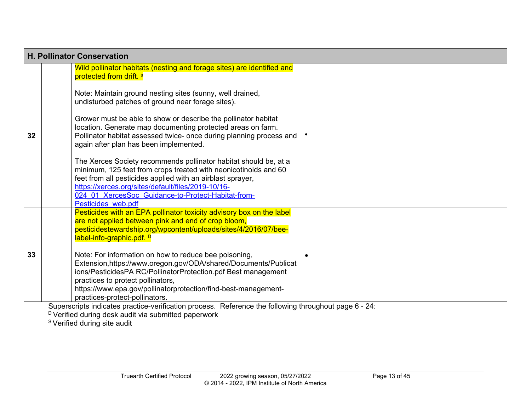<span id="page-12-0"></span>

|    |                                                                                                                                                                                                                                                                                                                                                                                                                                                                                                                   | <b>H. Pollinator Conservation</b> |  |  |
|----|-------------------------------------------------------------------------------------------------------------------------------------------------------------------------------------------------------------------------------------------------------------------------------------------------------------------------------------------------------------------------------------------------------------------------------------------------------------------------------------------------------------------|-----------------------------------|--|--|
|    | Wild pollinator habitats (nesting and forage sites) are identified and<br>protected from drift. <sup>s</sup>                                                                                                                                                                                                                                                                                                                                                                                                      |                                   |  |  |
|    | Note: Maintain ground nesting sites (sunny, well drained,<br>undisturbed patches of ground near forage sites).                                                                                                                                                                                                                                                                                                                                                                                                    |                                   |  |  |
| 32 | Grower must be able to show or describe the pollinator habitat<br>location. Generate map documenting protected areas on farm.<br>Pollinator habitat assessed twice- once during planning process and<br>again after plan has been implemented.                                                                                                                                                                                                                                                                    |                                   |  |  |
|    | The Xerces Society recommends pollinator habitat should be, at a<br>minimum, 125 feet from crops treated with neonicotinoids and 60<br>feet from all pesticides applied with an airblast sprayer,<br>https://xerces.org/sites/default/files/2019-10/16-<br>024 01 XercesSoc Guidance-to-Protect-Habitat-from-<br>Pesticides web.pdf                                                                                                                                                                               |                                   |  |  |
|    | Pesticides with an EPA pollinator toxicity advisory box on the label<br>are not applied between pink and end of crop bloom,<br>pesticidestewardship.org/wpcontent/uploads/sites/4/2016/07/bee-<br>label-info-graphic.pdf. <sup>D</sup>                                                                                                                                                                                                                                                                            |                                   |  |  |
| 33 | Note: For information on how to reduce bee poisoning,<br>Extension, https://www.oregon.gov/ODA/shared/Documents/Publicat<br>ions/PesticidesPA RC/PollinatorProtection.pdf Best management<br>practices to protect pollinators,<br>https://www.epa.gov/pollinatorprotection/find-best-management-<br>practices-protect-pollinators.<br>$\sim$<br>salah dari berkesaran bersatu dan bersatu dalam bersama dalam bersatu dan bersatu dan bersatu dan bersatu dan<br>Defenses of the following the served out no see. | $\sim$ $\sim$ $\sim$              |  |  |

 $^{\text{\tiny{\text{D}}}}$ Verified during desk audit via submitted paperwork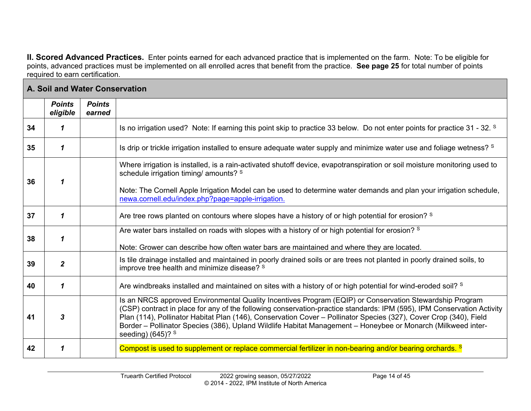**II. Scored Advanced Practices.** Enter points earned for each advanced practice that is implemented on the farm. Note: To be eligible for points, advanced practices must be implemented on all enrolled acres that benefit from the practice. **See page 25** for total number of points required to earn certification.

<span id="page-13-1"></span><span id="page-13-0"></span>

|    | A. Soil and Water Conservation |                         |                                                                                                                                                                                                                                                                                                                                                                                                                                                                                               |  |
|----|--------------------------------|-------------------------|-----------------------------------------------------------------------------------------------------------------------------------------------------------------------------------------------------------------------------------------------------------------------------------------------------------------------------------------------------------------------------------------------------------------------------------------------------------------------------------------------|--|
|    | <b>Points</b><br>eligible      | <b>Points</b><br>earned |                                                                                                                                                                                                                                                                                                                                                                                                                                                                                               |  |
| 34 | 1                              |                         | Is no irrigation used? Note: If earning this point skip to practice 33 below. Do not enter points for practice 31 - 32. <sup>S</sup>                                                                                                                                                                                                                                                                                                                                                          |  |
| 35 | 1                              |                         | Is drip or trickle irrigation installed to ensure adequate water supply and minimize water use and foliage wetness? S                                                                                                                                                                                                                                                                                                                                                                         |  |
| 36 | 1                              |                         | Where irrigation is installed, is a rain-activated shutoff device, evapotranspiration or soil moisture monitoring used to<br>schedule irrigation timing/ amounts? S                                                                                                                                                                                                                                                                                                                           |  |
|    |                                |                         | Note: The Cornell Apple Irrigation Model can be used to determine water demands and plan your irrigation schedule,<br>newa.cornell.edu/index.php?page=apple-irrigation.                                                                                                                                                                                                                                                                                                                       |  |
| 37 | 1                              |                         | Are tree rows planted on contours where slopes have a history of or high potential for erosion? S                                                                                                                                                                                                                                                                                                                                                                                             |  |
| 38 | 1                              |                         | Are water bars installed on roads with slopes with a history of or high potential for erosion? S<br>Note: Grower can describe how often water bars are maintained and where they are located.                                                                                                                                                                                                                                                                                                 |  |
| 39 | $\mathbf{2}$                   |                         | Is tile drainage installed and maintained in poorly drained soils or are trees not planted in poorly drained soils, to<br>improve tree health and minimize disease? S                                                                                                                                                                                                                                                                                                                         |  |
| 40 | 1                              |                         | Are windbreaks installed and maintained on sites with a history of or high potential for wind-eroded soil? <sup>S</sup>                                                                                                                                                                                                                                                                                                                                                                       |  |
| 41 | 3                              |                         | Is an NRCS approved Environmental Quality Incentives Program (EQIP) or Conservation Stewardship Program<br>(CSP) contract in place for any of the following conservation-practice standards: IPM (595), IPM Conservation Activity<br>Plan (114), Pollinator Habitat Plan (146), Conservation Cover - Pollinator Species (327), Cover Crop (340), Field<br>Border - Pollinator Species (386), Upland Wildlife Habitat Management - Honeybee or Monarch (Milkweed inter-<br>seeding) (645)? $S$ |  |
| 42 | 1                              |                         | Compost is used to supplement or replace commercial fertilizer in non-bearing and/or bearing orchards. <sup>S</sup>                                                                                                                                                                                                                                                                                                                                                                           |  |

۰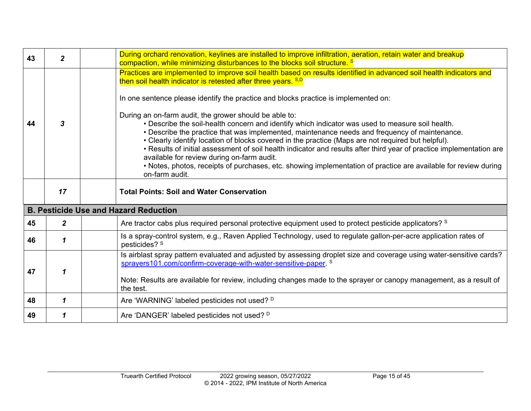<span id="page-14-0"></span>

| 43 | $\overline{2}$   | During orchard renovation, keylines are installed to improve infiltration, aeration, retain water and breakup<br>compaction, while minimizing disturbances to the blocks soil structure. <sup>S</sup>                                                                                                                                                                                                                                                                                                                                      |
|----|------------------|--------------------------------------------------------------------------------------------------------------------------------------------------------------------------------------------------------------------------------------------------------------------------------------------------------------------------------------------------------------------------------------------------------------------------------------------------------------------------------------------------------------------------------------------|
| 44 | 3                | Practices are implemented to improve soil health based on results identified in advanced soil health indicators and<br>then soil health indicator is retested after three years. S,D<br>In one sentence please identify the practice and blocks practice is implemented on:<br>During an on-farm audit, the grower should be able to:<br>. Describe the soil-health concern and identify which indicator was used to measure soil health.<br>. Describe the practice that was implemented, maintenance needs and frequency of maintenance. |
|    |                  | • Clearly identify location of blocks covered in the practice (Maps are not required but helpful).<br>• Results of initial assessment of soil health indicator and results after third year of practice implementation are<br>available for review during on-farm audit.<br>• Notes, photos, receipts of purchases, etc. showing implementation of practice are available for review during<br>on-farm audit.                                                                                                                              |
|    | 17               | <b>Total Points: Soil and Water Conservation</b>                                                                                                                                                                                                                                                                                                                                                                                                                                                                                           |
|    |                  | <b>B. Pesticide Use and Hazard Reduction</b>                                                                                                                                                                                                                                                                                                                                                                                                                                                                                               |
| 45 | $\boldsymbol{2}$ | Are tractor cabs plus required personal protective equipment used to protect pesticide applicators? S                                                                                                                                                                                                                                                                                                                                                                                                                                      |
| 46 | 1                | Is a spray-control system, e.g., Raven Applied Technology, used to regulate gallon-per-acre application rates of<br>pesticides? S                                                                                                                                                                                                                                                                                                                                                                                                          |
| 47 | 1                | Is airblast spray pattern evaluated and adjusted by assessing droplet size and coverage using water-sensitive cards?<br>sprayers101.com/confirm-coverage-with-water-sensitive-paper. S<br>Note: Results are available for review, including changes made to the sprayer or canopy management, as a result of<br>the test.                                                                                                                                                                                                                  |
| 48 | 1                | Are 'WARNING' labeled pesticides not used? D                                                                                                                                                                                                                                                                                                                                                                                                                                                                                               |
| 49 | 1                | Are 'DANGER' labeled pesticides not used? D                                                                                                                                                                                                                                                                                                                                                                                                                                                                                                |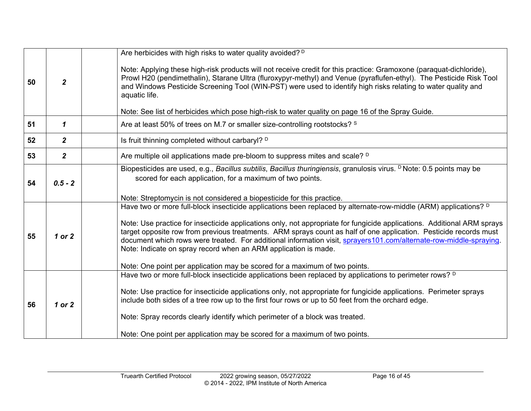|                                                                                                                                                                                                                                                                                           | $\overline{2}$   | Are herbicides with high risks to water quality avoided? <sup>D</sup>                                                                                                                                                                                                                                                                                                                                                                                                                                                                                                |
|-------------------------------------------------------------------------------------------------------------------------------------------------------------------------------------------------------------------------------------------------------------------------------------------|------------------|----------------------------------------------------------------------------------------------------------------------------------------------------------------------------------------------------------------------------------------------------------------------------------------------------------------------------------------------------------------------------------------------------------------------------------------------------------------------------------------------------------------------------------------------------------------------|
| 50                                                                                                                                                                                                                                                                                        |                  | Note: Applying these high-risk products will not receive credit for this practice: Gramoxone (paraquat-dichloride),<br>Prowl H20 (pendimethalin), Starane Ultra (fluroxypyr-methyl) and Venue (pyraflufen-ethyl). The Pesticide Risk Tool<br>and Windows Pesticide Screening Tool (WIN-PST) were used to identify high risks relating to water quality and<br>aquatic life.                                                                                                                                                                                          |
|                                                                                                                                                                                                                                                                                           |                  | Note: See list of herbicides which pose high-risk to water quality on page 16 of the Spray Guide.                                                                                                                                                                                                                                                                                                                                                                                                                                                                    |
| 51                                                                                                                                                                                                                                                                                        | 1                | Are at least 50% of trees on M.7 or smaller size-controlling rootstocks? S                                                                                                                                                                                                                                                                                                                                                                                                                                                                                           |
| 52                                                                                                                                                                                                                                                                                        | $\boldsymbol{2}$ | Is fruit thinning completed without carbaryl? D                                                                                                                                                                                                                                                                                                                                                                                                                                                                                                                      |
| 53                                                                                                                                                                                                                                                                                        | $\mathbf{2}$     | Are multiple oil applications made pre-bloom to suppress mites and scale? D                                                                                                                                                                                                                                                                                                                                                                                                                                                                                          |
| Biopesticides are used, e.g., Bacillus subtilis, Bacillus thuringiensis, granulosis virus. <sup>D</sup> Note: 0.5 points may be<br>scored for each application, for a maximum of two points.<br>$0.5 - 2$<br>54<br>Note: Streptomycin is not considered a biopesticide for this practice. |                  |                                                                                                                                                                                                                                                                                                                                                                                                                                                                                                                                                                      |
| 55                                                                                                                                                                                                                                                                                        | 1 or 2           | Have two or more full-block insecticide applications been replaced by alternate-row-middle (ARM) applications? <sup>D</sup><br>Note: Use practice for insecticide applications only, not appropriate for fungicide applications. Additional ARM sprays<br>target opposite row from previous treatments. ARM sprays count as half of one application. Pesticide records must<br>document which rows were treated. For additional information visit, sprayers101.com/alternate-row-middle-spraying.<br>Note: Indicate on spray record when an ARM application is made. |
|                                                                                                                                                                                                                                                                                           |                  | Note: One point per application may be scored for a maximum of two points.                                                                                                                                                                                                                                                                                                                                                                                                                                                                                           |
| 56                                                                                                                                                                                                                                                                                        | 1 or 2           | Have two or more full-block insecticide applications been replaced by applications to perimeter rows? <sup>D</sup><br>Note: Use practice for insecticide applications only, not appropriate for fungicide applications. Perimeter sprays<br>include both sides of a tree row up to the first four rows or up to 50 feet from the orchard edge.<br>Note: Spray records clearly identify which perimeter of a block was treated.<br>Note: One point per application may be scored for a maximum of two points.                                                         |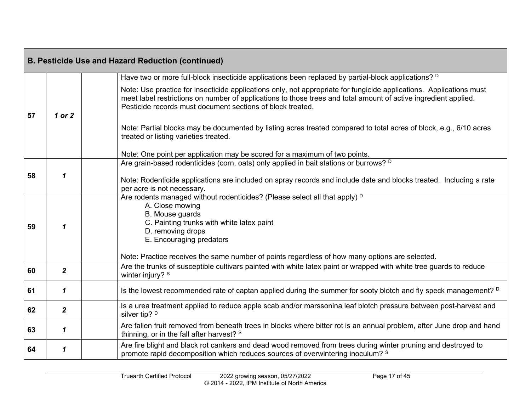| <b>B. Pesticide Use and Hazard Reduction (continued)</b> |                |                                                                                                                                                                                                                                                                                                                             |  |
|----------------------------------------------------------|----------------|-----------------------------------------------------------------------------------------------------------------------------------------------------------------------------------------------------------------------------------------------------------------------------------------------------------------------------|--|
|                                                          |                | Have two or more full-block insecticide applications been replaced by partial-block applications? <sup>D</sup>                                                                                                                                                                                                              |  |
| 57                                                       | 1 or 2         | Note: Use practice for insecticide applications only, not appropriate for fungicide applications. Applications must<br>meet label restrictions on number of applications to those trees and total amount of active ingredient applied.<br>Pesticide records must document sections of block treated.                        |  |
|                                                          |                | Note: Partial blocks may be documented by listing acres treated compared to total acres of block, e.g., 6/10 acres<br>treated or listing varieties treated.                                                                                                                                                                 |  |
|                                                          |                | Note: One point per application may be scored for a maximum of two points.                                                                                                                                                                                                                                                  |  |
|                                                          |                | Are grain-based rodenticides (corn, oats) only applied in bait stations or burrows? <sup>D</sup>                                                                                                                                                                                                                            |  |
| 58                                                       | $\mathbf 1$    | Note: Rodenticide applications are included on spray records and include date and blocks treated. Including a rate<br>per acre is not necessary.                                                                                                                                                                            |  |
| 59                                                       |                | Are rodents managed without rodenticides? (Please select all that apply) <sup>D</sup><br>A. Close mowing<br>B. Mouse guards<br>C. Painting trunks with white latex paint<br>D. removing drops<br>E. Encouraging predators<br>Note: Practice receives the same number of points regardless of how many options are selected. |  |
| 60                                                       | $\overline{2}$ | Are the trunks of susceptible cultivars painted with white latex paint or wrapped with white tree guards to reduce<br>winter injury? S                                                                                                                                                                                      |  |
| 61                                                       | $\mathbf 1$    | Is the lowest recommended rate of captan applied during the summer for sooty blotch and fly speck management? D                                                                                                                                                                                                             |  |
| 62                                                       | $\mathbf{2}$   | Is a urea treatment applied to reduce apple scab and/or marssonina leaf blotch pressure between post-harvest and<br>silver tip? D                                                                                                                                                                                           |  |
| 63                                                       | 1              | Are fallen fruit removed from beneath trees in blocks where bitter rot is an annual problem, after June drop and hand<br>thinning, or in the fall after harvest? S                                                                                                                                                          |  |
| 64                                                       | 1              | Are fire blight and black rot cankers and dead wood removed from trees during winter pruning and destroyed to<br>promote rapid decomposition which reduces sources of overwintering inoculum? S                                                                                                                             |  |

۰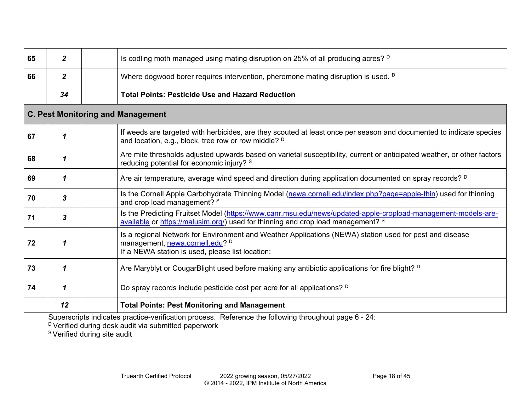| 65 | $\mathbf{2}$ | Is codling moth managed using mating disruption on 25% of all producing acres? <sup>D</sup>                                                                                                       |  |  |
|----|--------------|---------------------------------------------------------------------------------------------------------------------------------------------------------------------------------------------------|--|--|
| 66 | $\mathbf{2}$ | Where dogwood borer requires intervention, pheromone mating disruption is used. <sup>D</sup>                                                                                                      |  |  |
|    | 34           | <b>Total Points: Pesticide Use and Hazard Reduction</b>                                                                                                                                           |  |  |
|    |              | <b>C. Pest Monitoring and Management</b>                                                                                                                                                          |  |  |
| 67 | 1            | If weeds are targeted with herbicides, are they scouted at least once per season and documented to indicate species<br>and location, e.g., block, tree row or row middle? <sup>D</sup>            |  |  |
| 68 | 1            | Are mite thresholds adjusted upwards based on varietal susceptibility, current or anticipated weather, or other factors<br>reducing potential for economic injury? S                              |  |  |
| 69 | 1            | Are air temperature, average wind speed and direction during application documented on spray records? <sup>D</sup>                                                                                |  |  |
| 70 | 3            | Is the Cornell Apple Carbohydrate Thinning Model (newa.cornell.edu/index.php?page=apple-thin) used for thinning<br>and crop load management? S                                                    |  |  |
| 71 | 3            | Is the Predicting Fruitset Model (https://www.canr.msu.edu/news/updated-apple-cropload-management-models-are-<br>available or https://malusim.org/) used for thinning and crop load management? S |  |  |
| 72 | 1            | Is a regional Network for Environment and Weather Applications (NEWA) station used for pest and disease<br>management, newa.cornell.edu? D<br>If a NEWA station is used, please list location:    |  |  |
| 73 | 1            | Are Maryblyt or CougarBlight used before making any antibiotic applications for fire blight? <sup>D</sup>                                                                                         |  |  |
| 74 | 1            | Do spray records include pesticide cost per acre for all applications? D                                                                                                                          |  |  |
|    | 12           | <b>Total Points: Pest Monitoring and Management</b><br>the contract of the contract of the<br>$\sim$ $\sim$ $\sim$                                                                                |  |  |

<span id="page-17-0"></span> $^\text{\tiny{\text{D}}}$ Verified during desk audit via submitted paperwork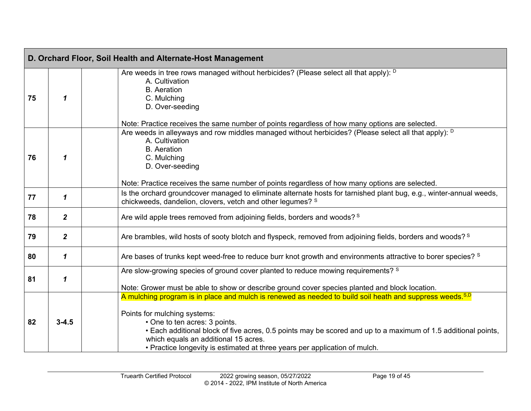<span id="page-18-0"></span>

|                                                                                                         | D. Orchard Floor, Soil Health and Alternate-Host Management                                |                                                                                                                                                                                                                                                                                                                                                                                                                   |  |  |  |
|---------------------------------------------------------------------------------------------------------|--------------------------------------------------------------------------------------------|-------------------------------------------------------------------------------------------------------------------------------------------------------------------------------------------------------------------------------------------------------------------------------------------------------------------------------------------------------------------------------------------------------------------|--|--|--|
| 75                                                                                                      | $\mathbf 1$                                                                                | Are weeds in tree rows managed without herbicides? (Please select all that apply): D<br>A. Cultivation<br><b>B.</b> Aeration<br>C. Mulching<br>D. Over-seeding                                                                                                                                                                                                                                                    |  |  |  |
| A. Cultivation<br><b>B.</b> Aeration<br>C. Mulching<br>76<br>1<br>D. Over-seeding                       |                                                                                            | Note: Practice receives the same number of points regardless of how many options are selected.<br>Are weeds in alleyways and row middles managed without herbicides? (Please select all that apply): <sup>D</sup><br>Note: Practice receives the same number of points regardless of how many options are selected.                                                                                               |  |  |  |
| 77                                                                                                      | $\mathbf 1$                                                                                | Is the orchard groundcover managed to eliminate alternate hosts for tarnished plant bug, e.g., winter-annual weeds,<br>chickweeds, dandelion, clovers, vetch and other legumes? S                                                                                                                                                                                                                                 |  |  |  |
| 78                                                                                                      | $\overline{2}$<br>Are wild apple trees removed from adjoining fields, borders and woods? S |                                                                                                                                                                                                                                                                                                                                                                                                                   |  |  |  |
| 79                                                                                                      | $\overline{2}$                                                                             | Are brambles, wild hosts of sooty blotch and flyspeck, removed from adjoining fields, borders and woods? <sup>S</sup>                                                                                                                                                                                                                                                                                             |  |  |  |
| 80                                                                                                      | 1                                                                                          | Are bases of trunks kept weed-free to reduce burr knot growth and environments attractive to borer species? <sup>S</sup>                                                                                                                                                                                                                                                                                          |  |  |  |
| Are slow-growing species of ground cover planted to reduce mowing requirements? S<br>81<br>$\mathbf{1}$ |                                                                                            | Note: Grower must be able to show or describe ground cover species planted and block location.                                                                                                                                                                                                                                                                                                                    |  |  |  |
| 82                                                                                                      | $3 - 4.5$                                                                                  | A mulching program is in place and mulch is renewed as needed to build soil heath and suppress weeds. S,D<br>Points for mulching systems:<br>• One to ten acres: 3 points.<br>. Each additional block of five acres, 0.5 points may be scored and up to a maximum of 1.5 additional points,<br>which equals an additional 15 acres.<br>• Practice longevity is estimated at three years per application of mulch. |  |  |  |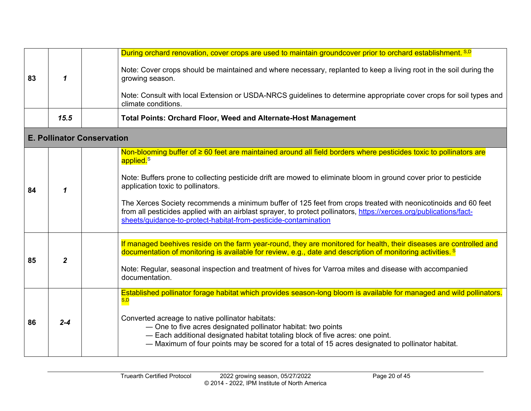<span id="page-19-0"></span>

|    | 1              | During orchard renovation, cover crops are used to maintain groundcover prior to orchard establishment. S,D                                                                                                                                                                                             |  |  |  |
|----|----------------|---------------------------------------------------------------------------------------------------------------------------------------------------------------------------------------------------------------------------------------------------------------------------------------------------------|--|--|--|
| 83 |                | Note: Cover crops should be maintained and where necessary, replanted to keep a living root in the soil during the<br>growing season.                                                                                                                                                                   |  |  |  |
|    |                | Note: Consult with local Extension or USDA-NRCS guidelines to determine appropriate cover crops for soil types and<br>climate conditions.                                                                                                                                                               |  |  |  |
|    | 15.5           | <b>Total Points: Orchard Floor, Weed and Alternate-Host Management</b>                                                                                                                                                                                                                                  |  |  |  |
|    |                | <b>E. Pollinator Conservation</b>                                                                                                                                                                                                                                                                       |  |  |  |
|    |                | Non-blooming buffer of ≥ 60 feet are maintained around all field borders where pesticides toxic to pollinators are<br>applied. <sup>S</sup>                                                                                                                                                             |  |  |  |
| 84 | 1              | Note: Buffers prone to collecting pesticide drift are mowed to eliminate bloom in ground cover prior to pesticide<br>application toxic to pollinators.                                                                                                                                                  |  |  |  |
|    |                | The Xerces Society recommends a minimum buffer of 125 feet from crops treated with neonicotinoids and 60 feet<br>from all pesticides applied with an airblast sprayer, to protect pollinators, https://xerces.org/publications/fact-<br>sheets/guidance-to-protect-habitat-from-pesticide-contamination |  |  |  |
| 85 | $\overline{2}$ | If managed beehives reside on the farm year-round, they are monitored for health, their diseases are controlled and<br>documentation of monitoring is available for review, e.g., date and description of monitoring activities. <sup>§</sup>                                                           |  |  |  |
|    |                | Note: Regular, seasonal inspection and treatment of hives for Varroa mites and disease with accompanied<br>documentation.                                                                                                                                                                               |  |  |  |
|    | $2 - 4$        | Established pollinator forage habitat which provides season-long bloom is available for managed and wild pollinators.<br>S,D                                                                                                                                                                            |  |  |  |
| 86 |                | Converted acreage to native pollinator habitats:<br>- One to five acres designated pollinator habitat: two points<br>- Each additional designated habitat totaling block of five acres: one point.<br>- Maximum of four points may be scored for a total of 15 acres designated to pollinator habitat.  |  |  |  |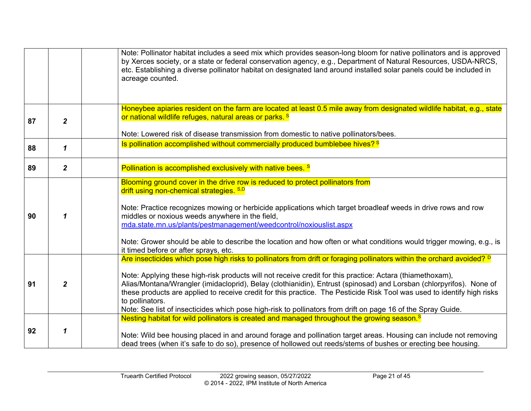|    |                | Note: Pollinator habitat includes a seed mix which provides season-long bloom for native pollinators and is approved<br>by Xerces society, or a state or federal conservation agency, e.g., Department of Natural Resources, USDA-NRCS,<br>etc. Establishing a diverse pollinator habitat on designated land around installed solar panels could be included in<br>acreage counted.                                                                                                                                                                                                                                                 |  |  |
|----|----------------|-------------------------------------------------------------------------------------------------------------------------------------------------------------------------------------------------------------------------------------------------------------------------------------------------------------------------------------------------------------------------------------------------------------------------------------------------------------------------------------------------------------------------------------------------------------------------------------------------------------------------------------|--|--|
| 87 | $\overline{2}$ | Honeybee apiaries resident on the farm are located at least 0.5 mile away from designated wildlife habitat, e.g., state<br>or national wildlife refuges, natural areas or parks. <sup>S</sup>                                                                                                                                                                                                                                                                                                                                                                                                                                       |  |  |
|    |                | Note: Lowered risk of disease transmission from domestic to native pollinators/bees.                                                                                                                                                                                                                                                                                                                                                                                                                                                                                                                                                |  |  |
| 88 | $\mathbf{1}$   | Is pollination accomplished without commercially produced bumblebee hives? <sup>8</sup>                                                                                                                                                                                                                                                                                                                                                                                                                                                                                                                                             |  |  |
| 89 | $\overline{2}$ | Pollination is accomplished exclusively with native bees. <sup>S</sup>                                                                                                                                                                                                                                                                                                                                                                                                                                                                                                                                                              |  |  |
| 90 | 1              | Blooming ground cover in the drive row is reduced to protect pollinators from<br>drift using non-chemical strategies. S,D<br>Note: Practice recognizes mowing or herbicide applications which target broadleaf weeds in drive rows and row<br>middles or noxious weeds anywhere in the field,<br>mda.state.mn.us/plants/pestmanagement/weedcontrol/noxiouslist.aspx<br>Note: Grower should be able to describe the location and how often or what conditions would trigger mowing, e.g., is<br>it timed before or after sprays, etc.                                                                                                |  |  |
| 91 | $\overline{2}$ | Are insecticides which pose high risks to pollinators from drift or foraging pollinators within the orchard avoided? <sup>D</sup><br>Note: Applying these high-risk products will not receive credit for this practice: Actara (thiamethoxam),<br>Alias/Montana/Wrangler (imidacloprid), Belay (clothianidin), Entrust (spinosad) and Lorsban (chlorpyrifos). None of<br>these products are applied to receive credit for this practice. The Pesticide Risk Tool was used to identify high risks<br>to pollinators.<br>Note: See list of insecticides which pose high-risk to pollinators from drift on page 16 of the Spray Guide. |  |  |
| 92 | 1              | Nesting habitat for wild pollinators is created and managed throughout the growing season. <sup>S</sup><br>Note: Wild bee housing placed in and around forage and pollination target areas. Housing can include not removing<br>dead trees (when it's safe to do so), presence of hollowed out reeds/stems of bushes or erecting bee housing.                                                                                                                                                                                                                                                                                       |  |  |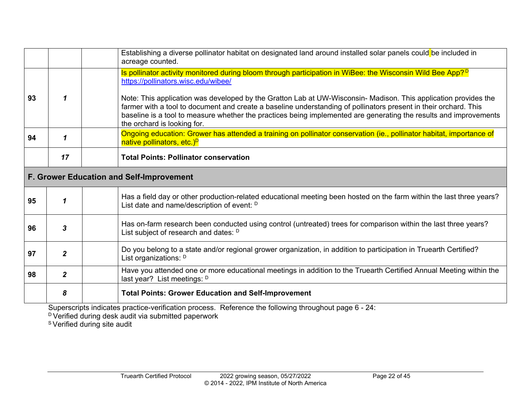|    |                                                                                                                                                                                                                                                                                                                                                                                              | Establishing a diverse pollinator habitat on designated land around installed solar panels could be included in<br>acreage counted.                                |  |  |
|----|----------------------------------------------------------------------------------------------------------------------------------------------------------------------------------------------------------------------------------------------------------------------------------------------------------------------------------------------------------------------------------------------|--------------------------------------------------------------------------------------------------------------------------------------------------------------------|--|--|
|    |                                                                                                                                                                                                                                                                                                                                                                                              | Is pollinator activity monitored during bloom through participation in WiBee: the Wisconsin Wild Bee App? <sup>D</sup><br>https://pollinators.wisc.edu/wibee/      |  |  |
| 93 | Note: This application was developed by the Gratton Lab at UW-Wisconsin- Madison. This application provides the<br>1<br>farmer with a tool to document and create a baseline understanding of pollinators present in their orchard. This<br>baseline is a tool to measure whether the practices being implemented are generating the results and improvements<br>the orchard is looking for. |                                                                                                                                                                    |  |  |
| 94 | $\boldsymbol{\mathcal{L}}$                                                                                                                                                                                                                                                                                                                                                                   | Ongoing education: Grower has attended a training on pollinator conservation (ie., pollinator habitat, importance of<br>native pollinators, etc.) <sup>D</sup>     |  |  |
|    | 17                                                                                                                                                                                                                                                                                                                                                                                           | <b>Total Points: Pollinator conservation</b>                                                                                                                       |  |  |
|    | F. Grower Education and Self-Improvement                                                                                                                                                                                                                                                                                                                                                     |                                                                                                                                                                    |  |  |
| 95 | 1                                                                                                                                                                                                                                                                                                                                                                                            | Has a field day or other production-related educational meeting been hosted on the farm within the last three years?<br>List date and name/description of event: D |  |  |
| 96 | 3                                                                                                                                                                                                                                                                                                                                                                                            | Has on-farm research been conducted using control (untreated) trees for comparison within the last three years?<br>List subject of research and dates: D           |  |  |
| 97 | $\overline{2}$                                                                                                                                                                                                                                                                                                                                                                               | Do you belong to a state and/or regional grower organization, in addition to participation in Truearth Certified?<br>List organizations: D                         |  |  |
| 98 | $\overline{2}$                                                                                                                                                                                                                                                                                                                                                                               | Have you attended one or more educational meetings in addition to the Truearth Certified Annual Meeting within the<br>last year? List meetings: D                  |  |  |
|    | 8                                                                                                                                                                                                                                                                                                                                                                                            | <b>Total Points: Grower Education and Self-Improvement</b>                                                                                                         |  |  |

<span id="page-21-0"></span> $^{\text{\tiny{\text{D}}}}$ Verified during desk audit via submitted paperwork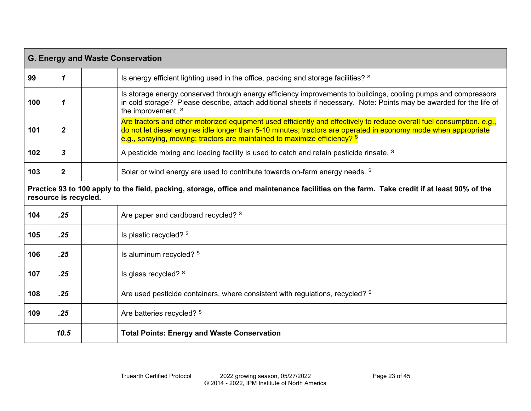<span id="page-22-0"></span>

| <b>G. Energy and Waste Conservation</b> |                                                                                                                                                                     |                                                                                                                                                                                                                                                                                                                                  |  |  |
|-----------------------------------------|---------------------------------------------------------------------------------------------------------------------------------------------------------------------|----------------------------------------------------------------------------------------------------------------------------------------------------------------------------------------------------------------------------------------------------------------------------------------------------------------------------------|--|--|
| 99                                      | 1                                                                                                                                                                   | Is energy efficient lighting used in the office, packing and storage facilities? <sup>S</sup>                                                                                                                                                                                                                                    |  |  |
| 100                                     | $\mathbf{1}$                                                                                                                                                        | Is storage energy conserved through energy efficiency improvements to buildings, cooling pumps and compressors<br>in cold storage? Please describe, attach additional sheets if necessary. Note: Points may be awarded for the life of<br>the improvement. S                                                                     |  |  |
| 101                                     | $\overline{2}$                                                                                                                                                      | Are tractors and other motorized equipment used efficiently and effectively to reduce overall fuel consumption. e.g.,<br>do not let diesel engines idle longer than 5-10 minutes; tractors are operated in economy mode when appropriate<br>e.g., spraying, mowing; tractors are maintained to maximize efficiency? <sup>s</sup> |  |  |
| 102                                     | $\mathbf{3}$                                                                                                                                                        | A pesticide mixing and loading facility is used to catch and retain pesticide rinsate. <sup>S</sup>                                                                                                                                                                                                                              |  |  |
| 103                                     | $\mathbf{2}$                                                                                                                                                        | Solar or wind energy are used to contribute towards on-farm energy needs. <sup>S</sup>                                                                                                                                                                                                                                           |  |  |
|                                         | Practice 93 to 100 apply to the field, packing, storage, office and maintenance facilities on the farm. Take credit if at least 90% of the<br>resource is recycled. |                                                                                                                                                                                                                                                                                                                                  |  |  |
| 104                                     | .25                                                                                                                                                                 | Are paper and cardboard recycled? S                                                                                                                                                                                                                                                                                              |  |  |
| 105                                     | .25                                                                                                                                                                 | Is plastic recycled? S                                                                                                                                                                                                                                                                                                           |  |  |
| 106                                     | .25                                                                                                                                                                 | Is aluminum recycled? S                                                                                                                                                                                                                                                                                                          |  |  |
| 107                                     | .25                                                                                                                                                                 | Is glass recycled? S                                                                                                                                                                                                                                                                                                             |  |  |
| 108                                     | .25                                                                                                                                                                 | Are used pesticide containers, where consistent with regulations, recycled? <sup>S</sup>                                                                                                                                                                                                                                         |  |  |
| 109                                     | .25                                                                                                                                                                 | Are batteries recycled? S                                                                                                                                                                                                                                                                                                        |  |  |
|                                         | 10.5                                                                                                                                                                | <b>Total Points: Energy and Waste Conservation</b>                                                                                                                                                                                                                                                                               |  |  |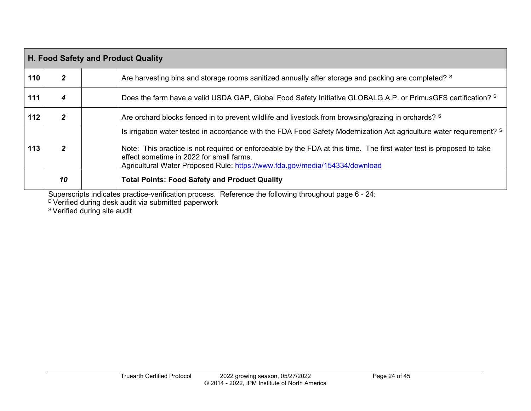| H. Food Safety and Product Quality |                                                                                                                                                                                                                                                                                                                                                                              |                                                                                                                          |  |  |  |
|------------------------------------|------------------------------------------------------------------------------------------------------------------------------------------------------------------------------------------------------------------------------------------------------------------------------------------------------------------------------------------------------------------------------|--------------------------------------------------------------------------------------------------------------------------|--|--|--|
| 110                                | $\mathbf{2}$                                                                                                                                                                                                                                                                                                                                                                 | Are harvesting bins and storage rooms sanitized annually after storage and packing are completed? S                      |  |  |  |
| 111                                | 4                                                                                                                                                                                                                                                                                                                                                                            | Does the farm have a valid USDA GAP, Global Food Safety Initiative GLOBALG.A.P. or PrimusGFS certification? <sup>S</sup> |  |  |  |
| 112                                | $\mathbf{2}$                                                                                                                                                                                                                                                                                                                                                                 | Are orchard blocks fenced in to prevent wildlife and livestock from browsing/grazing in orchards? S                      |  |  |  |
| 113                                | Is irrigation water tested in accordance with the FDA Food Safety Modernization Act agriculture water requirement? S<br>Note: This practice is not required or enforceable by the FDA at this time. The first water test is proposed to take<br>2<br>effect sometime in 2022 for small farms.<br>Agricultural Water Proposed Rule: https://www.fda.gov/media/154334/download |                                                                                                                          |  |  |  |
|                                    | 10                                                                                                                                                                                                                                                                                                                                                                           | <b>Total Points: Food Safety and Product Quality</b>                                                                     |  |  |  |

<span id="page-23-0"></span> $^\text{\tiny{\rm{D}}}$ Verified during desk audit via submitted paperwork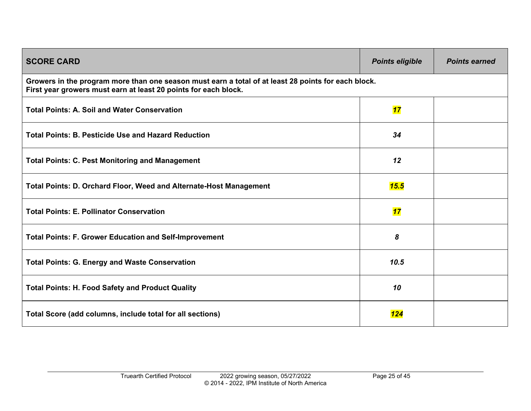<span id="page-24-0"></span>

| <b>SCORE CARD</b>                                                                                                                                                      | <b>Points eligible</b> | <b>Points earned</b> |
|------------------------------------------------------------------------------------------------------------------------------------------------------------------------|------------------------|----------------------|
| Growers in the program more than one season must earn a total of at least 28 points for each block.<br>First year growers must earn at least 20 points for each block. |                        |                      |
| <b>Total Points: A. Soil and Water Conservation</b>                                                                                                                    | 17                     |                      |
| <b>Total Points: B. Pesticide Use and Hazard Reduction</b>                                                                                                             | 34                     |                      |
| <b>Total Points: C. Pest Monitoring and Management</b>                                                                                                                 | 12                     |                      |
| <b>Total Points: D. Orchard Floor, Weed and Alternate-Host Management</b>                                                                                              | 15.5                   |                      |
| <b>Total Points: E. Pollinator Conservation</b>                                                                                                                        | 17                     |                      |
| <b>Total Points: F. Grower Education and Self-Improvement</b>                                                                                                          | 8                      |                      |
| <b>Total Points: G. Energy and Waste Conservation</b>                                                                                                                  | 10.5                   |                      |
| <b>Total Points: H. Food Safety and Product Quality</b>                                                                                                                | 10                     |                      |
| Total Score (add columns, include total for all sections)                                                                                                              | 124                    |                      |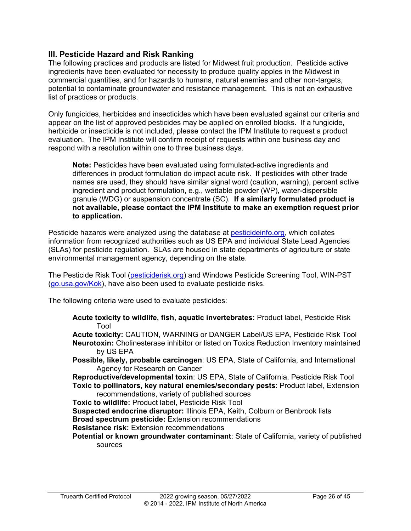#### <span id="page-25-0"></span>**III. Pesticide Hazard and Risk Ranking**

The following practices and products are listed for Midwest fruit production. Pesticide active ingredients have been evaluated for necessity to produce quality apples in the Midwest in commercial quantities, and for hazards to humans, natural enemies and other non-targets, potential to contaminate groundwater and resistance management. This is not an exhaustive list of practices or products.

Only fungicides, herbicides and insecticides which have been evaluated against our criteria and appear on the list of approved pesticides may be applied on enrolled blocks. If a fungicide, herbicide or insecticide is not included, please contact the IPM Institute to request a product evaluation. The IPM Institute will confirm receipt of requests within one business day and respond with a resolution within one to three business days.

**Note:** Pesticides have been evaluated using formulated-active ingredients and differences in product formulation do impact acute risk. If pesticides with other trade names are used, they should have similar signal word (caution, warning), percent active ingredient and product formulation, e.g., wettable powder (WP), water-dispersible granule (WDG) or suspension concentrate (SC). **If a similarly formulated product is not available, please contact the IPM Institute to make an exemption request prior to application.**

Pesticide hazards were analyzed using the database at [pesticideinfo.org,](http://www.pesticideinfo.org/) which collates information from recognized authorities such as US EPA and individual State Lead Agencies (SLAs) for pesticide regulation. SLAs are housed in state departments of agriculture or state environmental management agency, depending on the state.

The Pesticide Risk Tool [\(pesticiderisk.org\)](http://pesticiderisk.org/) and Windows Pesticide Screening Tool, WIN-PST [\(go.usa.gov/Kok\)](http://go.usa.gov/Kok), have also been used to evaluate pesticide risks.

The following criteria were used to evaluate pesticides:

**Acute toxicity to wildlife, fish, aquatic invertebrates:** Product label, Pesticide Risk Tool

**Acute toxicity:** CAUTION, WARNING or DANGER Label/US EPA, Pesticide Risk Tool **Neurotoxin:** Cholinesterase inhibitor or listed on Toxics Reduction Inventory maintained by US EPA

**Possible, likely, probable carcinogen**: US EPA, State of California, and International Agency for Research on Cancer

**Reproductive/developmental toxin**: US EPA, State of California, Pesticide Risk Tool **Toxic to pollinators, key natural enemies/secondary pests**: Product label, Extension recommendations, variety of published sources

**Toxic to wildlife:** Product label, Pesticide Risk Tool

**Suspected endocrine disruptor:** Illinois EPA, Keith, Colburn or Benbrook lists **Broad spectrum pesticide:** Extension recommendations

**Resistance risk:** Extension recommendations

**Potential or known groundwater contaminant**: State of California, variety of published sources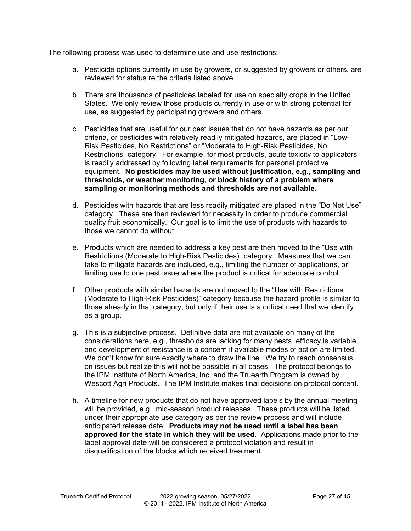The following process was used to determine use and use restrictions:

- a. Pesticide options currently in use by growers, or suggested by growers or others, are reviewed for status re the criteria listed above.
- b. There are thousands of pesticides labeled for use on specialty crops in the United States. We only review those products currently in use or with strong potential for use, as suggested by participating growers and others.
- c. Pesticides that are useful for our pest issues that do not have hazards as per our criteria, or pesticides with relatively readily mitigated hazards, are placed in "Low-Risk Pesticides, No Restrictions" or "Moderate to High-Risk Pesticides, No Restrictions" category. For example, for most products, acute toxicity to applicators is readily addressed by following label requirements for personal protective equipment. **No pesticides may be used without justification, e.g., sampling and thresholds, or weather monitoring, or block history of a problem where sampling or monitoring methods and thresholds are not available.**
- d. Pesticides with hazards that are less readily mitigated are placed in the "Do Not Use" category. These are then reviewed for necessity in order to produce commercial quality fruit economically. Our goal is to limit the use of products with hazards to those we cannot do without.
- e. Products which are needed to address a key pest are then moved to the "Use with Restrictions (Moderate to High-Risk Pesticides)" category. Measures that we can take to mitigate hazards are included, e.g., limiting the number of applications, or limiting use to one pest issue where the product is critical for adequate control.
- f. Other products with similar hazards are not moved to the "Use with Restrictions (Moderate to High-Risk Pesticides)" category because the hazard profile is similar to those already in that category, but only if their use is a critical need that we identify as a group.
- g. This is a subjective process. Definitive data are not available on many of the considerations here, e.g., thresholds are lacking for many pests, efficacy is variable, and development of resistance is a concern if available modes of action are limited. We don't know for sure exactly where to draw the line. We try to reach consensus on issues but realize this will not be possible in all cases. The protocol belongs to the IPM Institute of North America, Inc. and the Truearth Program is owned by Wescott Agri Products. The IPM Institute makes final decisions on protocol content.
- h. A timeline for new products that do not have approved labels by the annual meeting will be provided, e.g., mid-season product releases. These products will be listed under their appropriate use category as per the review process and will include anticipated release date. **Products may not be used until a label has been approved for the state in which they will be used**. Applications made prior to the label approval date will be considered a protocol violation and result in disqualification of the blocks which received treatment.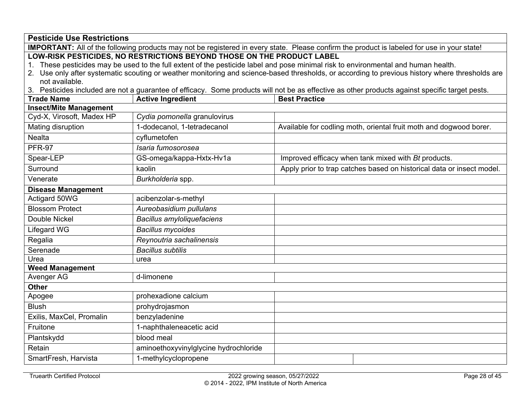| <b>Pesticide Use Restrictions</b>                                                                                                                                                                                                                                                                                                                                                                                                                                                                                                                                                                                                                                                   |                                   |                      |                                                                       |  |  |
|-------------------------------------------------------------------------------------------------------------------------------------------------------------------------------------------------------------------------------------------------------------------------------------------------------------------------------------------------------------------------------------------------------------------------------------------------------------------------------------------------------------------------------------------------------------------------------------------------------------------------------------------------------------------------------------|-----------------------------------|----------------------|-----------------------------------------------------------------------|--|--|
|                                                                                                                                                                                                                                                                                                                                                                                                                                                                                                                                                                                                                                                                                     |                                   |                      |                                                                       |  |  |
| IMPORTANT: All of the following products may not be registered in every state. Please confirm the product is labeled for use in your state!<br>LOW-RISK PESTICIDES, NO RESTRICTIONS BEYOND THOSE ON THE PRODUCT LABEL<br>1. These pesticides may be used to the full extent of the pesticide label and pose minimal risk to environmental and human health.<br>2. Use only after systematic scouting or weather monitoring and science-based thresholds, or according to previous history where thresholds are<br>not available.<br>3. Pesticides included are not a guarantee of efficacy. Some products will not be as effective as other products against specific target pests. |                                   |                      |                                                                       |  |  |
| <b>Trade Name</b>                                                                                                                                                                                                                                                                                                                                                                                                                                                                                                                                                                                                                                                                   | <b>Active Ingredient</b>          | <b>Best Practice</b> |                                                                       |  |  |
| <b>Insect/Mite Management</b>                                                                                                                                                                                                                                                                                                                                                                                                                                                                                                                                                                                                                                                       |                                   |                      |                                                                       |  |  |
| Cyd-X, Virosoft, Madex HP                                                                                                                                                                                                                                                                                                                                                                                                                                                                                                                                                                                                                                                           | Cydia pomonella granulovirus      |                      |                                                                       |  |  |
| Mating disruption                                                                                                                                                                                                                                                                                                                                                                                                                                                                                                                                                                                                                                                                   | 1-dodecanol, 1-tetradecanol       |                      | Available for codling moth, oriental fruit moth and dogwood borer.    |  |  |
| <b>Nealta</b>                                                                                                                                                                                                                                                                                                                                                                                                                                                                                                                                                                                                                                                                       | cyflumetofen                      |                      |                                                                       |  |  |
| <b>PFR-97</b>                                                                                                                                                                                                                                                                                                                                                                                                                                                                                                                                                                                                                                                                       | Isaria fumosorosea                |                      |                                                                       |  |  |
| Spear-LEP                                                                                                                                                                                                                                                                                                                                                                                                                                                                                                                                                                                                                                                                           | GS-omega/kappa-Hxtx-Hv1a          |                      | Improved efficacy when tank mixed with Bt products.                   |  |  |
| Surround                                                                                                                                                                                                                                                                                                                                                                                                                                                                                                                                                                                                                                                                            | kaolin                            |                      | Apply prior to trap catches based on historical data or insect model. |  |  |
| Venerate                                                                                                                                                                                                                                                                                                                                                                                                                                                                                                                                                                                                                                                                            | Burkholderia spp.                 |                      |                                                                       |  |  |
| <b>Disease Management</b>                                                                                                                                                                                                                                                                                                                                                                                                                                                                                                                                                                                                                                                           |                                   |                      |                                                                       |  |  |
| Actigard 50WG                                                                                                                                                                                                                                                                                                                                                                                                                                                                                                                                                                                                                                                                       | acibenzolar-s-methyl              |                      |                                                                       |  |  |
| <b>Blossom Protect</b>                                                                                                                                                                                                                                                                                                                                                                                                                                                                                                                                                                                                                                                              | Aureobasidium pullulans           |                      |                                                                       |  |  |
| <b>Double Nickel</b>                                                                                                                                                                                                                                                                                                                                                                                                                                                                                                                                                                                                                                                                | <b>Bacillus amyloliquefaciens</b> |                      |                                                                       |  |  |
| Lifegard WG                                                                                                                                                                                                                                                                                                                                                                                                                                                                                                                                                                                                                                                                         | <b>Bacillus mycoides</b>          |                      |                                                                       |  |  |
| Regalia                                                                                                                                                                                                                                                                                                                                                                                                                                                                                                                                                                                                                                                                             | Reynoutria sachalinensis          |                      |                                                                       |  |  |
| Serenade                                                                                                                                                                                                                                                                                                                                                                                                                                                                                                                                                                                                                                                                            | <b>Bacillus subtilis</b>          |                      |                                                                       |  |  |
| $U$ rea                                                                                                                                                                                                                                                                                                                                                                                                                                                                                                                                                                                                                                                                             | urea                              |                      |                                                                       |  |  |
| <b>Weed Management</b>                                                                                                                                                                                                                                                                                                                                                                                                                                                                                                                                                                                                                                                              |                                   |                      |                                                                       |  |  |
| Avenger AG                                                                                                                                                                                                                                                                                                                                                                                                                                                                                                                                                                                                                                                                          | d-limonene                        |                      |                                                                       |  |  |
| <b>Other</b>                                                                                                                                                                                                                                                                                                                                                                                                                                                                                                                                                                                                                                                                        |                                   |                      |                                                                       |  |  |
| Apogee                                                                                                                                                                                                                                                                                                                                                                                                                                                                                                                                                                                                                                                                              | prohexadione calcium              |                      |                                                                       |  |  |
|                                                                                                                                                                                                                                                                                                                                                                                                                                                                                                                                                                                                                                                                                     | <b>Blush</b><br>prohydrojasmon    |                      |                                                                       |  |  |
| Exilis, MaxCel, Promalin<br>benzyladenine                                                                                                                                                                                                                                                                                                                                                                                                                                                                                                                                                                                                                                           |                                   |                      |                                                                       |  |  |
| Fruitone<br>1-naphthaleneacetic acid                                                                                                                                                                                                                                                                                                                                                                                                                                                                                                                                                                                                                                                |                                   |                      |                                                                       |  |  |
| blood meal<br>Plantskydd                                                                                                                                                                                                                                                                                                                                                                                                                                                                                                                                                                                                                                                            |                                   |                      |                                                                       |  |  |
| Retain<br>aminoethoxyvinylglycine hydrochloride                                                                                                                                                                                                                                                                                                                                                                                                                                                                                                                                                                                                                                     |                                   |                      |                                                                       |  |  |
| 1-methylcyclopropene<br>SmartFresh, Harvista                                                                                                                                                                                                                                                                                                                                                                                                                                                                                                                                                                                                                                        |                                   |                      |                                                                       |  |  |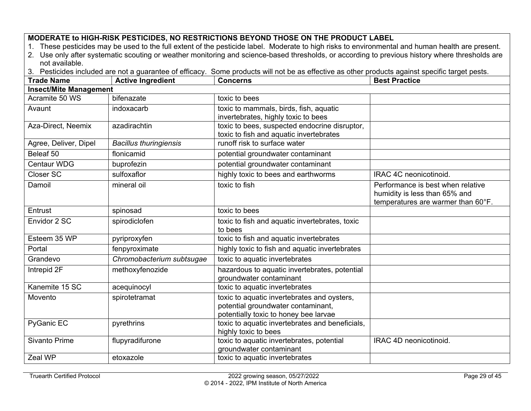### **MODERATE to HIGH-RISK PESTICIDES, NO RESTRICTIONS BEYOND THOSE ON THE PRODUCT LABEL**

1. These pesticides may be used to the full extent of the pesticide label. Moderate to high risks to environmental and human health are present.

2. Use only after systematic scouting or weather monitoring and science-based thresholds, or according to previous history where thresholds are not available.

3. Pesticides included are not a guarantee of efficacy. Some products will not be as effective as other products against specific target pests.

| <b>Trade Name</b>     | <b>Active Ingredient</b>      | <b>Concerns</b>                                                                                                            | <b>Best Practice</b>                                                                                     |  |  |  |  |
|-----------------------|-------------------------------|----------------------------------------------------------------------------------------------------------------------------|----------------------------------------------------------------------------------------------------------|--|--|--|--|
|                       | <b>Insect/Mite Management</b> |                                                                                                                            |                                                                                                          |  |  |  |  |
| Acramite 50 WS        | bifenazate                    | toxic to bees                                                                                                              |                                                                                                          |  |  |  |  |
| Avaunt                | indoxacarb                    | toxic to mammals, birds, fish, aquatic<br>invertebrates, highly toxic to bees                                              |                                                                                                          |  |  |  |  |
| Aza-Direct, Neemix    | azadirachtin                  | toxic to bees, suspected endocrine disruptor,<br>toxic to fish and aquatic invertebrates                                   |                                                                                                          |  |  |  |  |
| Agree, Deliver, Dipel | <b>Bacillus thuringiensis</b> | runoff risk to surface water                                                                                               |                                                                                                          |  |  |  |  |
| Beleaf 50             | flonicamid                    | potential groundwater contaminant                                                                                          |                                                                                                          |  |  |  |  |
| <b>Centaur WDG</b>    | buprofezin                    | potential groundwater contaminant                                                                                          |                                                                                                          |  |  |  |  |
| Closer SC             | sulfoxaflor                   | highly toxic to bees and earthworms                                                                                        | IRAC 4C neonicotinoid.                                                                                   |  |  |  |  |
| Damoil                | mineral oil                   | toxic to fish                                                                                                              | Performance is best when relative<br>humidity is less than 65% and<br>temperatures are warmer than 60°F. |  |  |  |  |
| Entrust               | spinosad                      | toxic to bees                                                                                                              |                                                                                                          |  |  |  |  |
| Envidor 2 SC          | spirodiclofen                 | toxic to fish and aquatic invertebrates, toxic<br>to bees                                                                  |                                                                                                          |  |  |  |  |
| Esteem 35 WP          | pyriproxyfen                  | toxic to fish and aquatic invertebrates                                                                                    |                                                                                                          |  |  |  |  |
| Portal                | fenpyroximate                 | highly toxic to fish and aquatic invertebrates                                                                             |                                                                                                          |  |  |  |  |
| Grandevo              | Chromobacterium subtsugae     | toxic to aquatic invertebrates                                                                                             |                                                                                                          |  |  |  |  |
| Intrepid 2F           | methoxyfenozide               | hazardous to aquatic invertebrates, potential<br>groundwater contaminant                                                   |                                                                                                          |  |  |  |  |
| Kanemite 15 SC        | acequinocyl                   | toxic to aquatic invertebrates                                                                                             |                                                                                                          |  |  |  |  |
| Movento               | spirotetramat                 | toxic to aquatic invertebrates and oysters,<br>potential groundwater contaminant,<br>potentially toxic to honey bee larvae |                                                                                                          |  |  |  |  |
| PyGanic EC            | pyrethrins                    | toxic to aquatic invertebrates and beneficials,<br>highly toxic to bees                                                    |                                                                                                          |  |  |  |  |
| <b>Sivanto Prime</b>  | flupyradifurone               | toxic to aquatic invertebrates, potential<br>groundwater contaminant                                                       | IRAC 4D neonicotinoid.                                                                                   |  |  |  |  |
| Zeal WP               | etoxazole                     | toxic to aquatic invertebrates                                                                                             |                                                                                                          |  |  |  |  |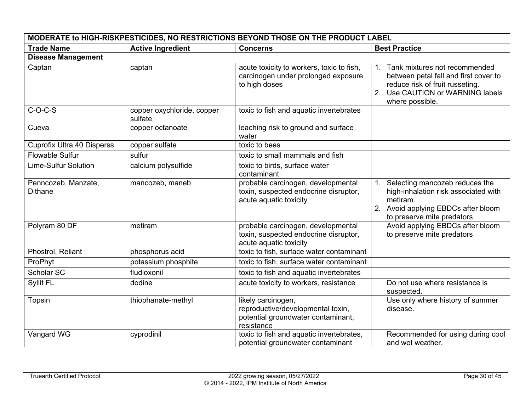| MODERATE to HIGH-RISKPESTICIDES, NO RESTRICTIONS BEYOND THOSE ON THE PRODUCT LABEL |                                       |                                                                                                             |                                                                                                                                                                                |
|------------------------------------------------------------------------------------|---------------------------------------|-------------------------------------------------------------------------------------------------------------|--------------------------------------------------------------------------------------------------------------------------------------------------------------------------------|
| <b>Trade Name</b>                                                                  | <b>Active Ingredient</b>              | <b>Concerns</b>                                                                                             | <b>Best Practice</b>                                                                                                                                                           |
| <b>Disease Management</b>                                                          |                                       |                                                                                                             |                                                                                                                                                                                |
| Captan                                                                             | captan                                | acute toxicity to workers, toxic to fish,<br>carcinogen under prolonged exposure<br>to high doses           | Tank mixtures not recommended<br>$1_{-}$<br>between petal fall and first cover to<br>reduce risk of fruit russeting.<br>Use CAUTION or WARNING labels<br>2.<br>where possible. |
| $C-O-C-S$                                                                          | copper oxychloride, copper<br>sulfate | toxic to fish and aquatic invertebrates                                                                     |                                                                                                                                                                                |
| Cueva                                                                              | copper octanoate                      | leaching risk to ground and surface<br>water                                                                |                                                                                                                                                                                |
| <b>Cuprofix Ultra 40 Disperss</b>                                                  | copper sulfate                        | toxic to bees                                                                                               |                                                                                                                                                                                |
| <b>Flowable Sulfur</b>                                                             | sulfur                                | toxic to small mammals and fish                                                                             |                                                                                                                                                                                |
| <b>Lime-Sulfur Solution</b>                                                        | calcium polysulfide                   | toxic to birds, surface water<br>contaminant                                                                |                                                                                                                                                                                |
| Penncozeb, Manzate,<br><b>Dithane</b>                                              | mancozeb, maneb                       | probable carcinogen, developmental<br>toxin, suspected endocrine disruptor,<br>acute aquatic toxicity       | Selecting mancozeb reduces the<br>1.<br>high-inhalation risk associated with<br>metiram.<br>2. Avoid applying EBDCs after bloom<br>to preserve mite predators                  |
| Polyram 80 DF                                                                      | metiram                               | probable carcinogen, developmental<br>toxin, suspected endocrine disruptor,<br>acute aquatic toxicity       | Avoid applying EBDCs after bloom<br>to preserve mite predators                                                                                                                 |
| Phostrol, Reliant                                                                  | phosphorus acid                       | toxic to fish, surface water contaminant                                                                    |                                                                                                                                                                                |
| ProPhyt                                                                            | potassium phosphite                   | toxic to fish, surface water contaminant                                                                    |                                                                                                                                                                                |
| <b>Scholar SC</b>                                                                  | fludioxonil                           | toxic to fish and aquatic invertebrates                                                                     |                                                                                                                                                                                |
| Syllit FL                                                                          | dodine                                | acute toxicity to workers, resistance                                                                       | Do not use where resistance is<br>suspected.                                                                                                                                   |
| Topsin                                                                             | thiophanate-methyl                    | likely carcinogen,<br>reproductive/developmental toxin,<br>potential groundwater contaminant,<br>resistance | Use only where history of summer<br>disease.                                                                                                                                   |
| Vangard WG                                                                         | cyprodinil                            | toxic to fish and aquatic invertebrates,<br>potential groundwater contaminant                               | Recommended for using during cool<br>and wet weather.                                                                                                                          |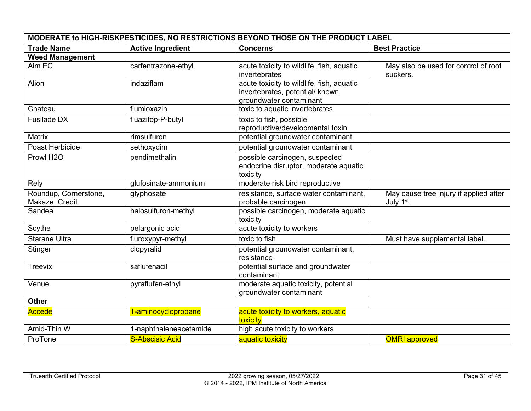| MODERATE to HIGH-RISKPESTICIDES, NO RESTRICTIONS BEYOND THOSE ON THE PRODUCT LABEL |                          |                                                                                                         |                                                                  |  |
|------------------------------------------------------------------------------------|--------------------------|---------------------------------------------------------------------------------------------------------|------------------------------------------------------------------|--|
| <b>Trade Name</b>                                                                  | <b>Active Ingredient</b> | <b>Concerns</b>                                                                                         | <b>Best Practice</b>                                             |  |
| <b>Weed Management</b>                                                             |                          |                                                                                                         |                                                                  |  |
| Aim EC                                                                             | carfentrazone-ethyl      | acute toxicity to wildlife, fish, aquatic<br>invertebrates                                              | May also be used for control of root<br>suckers.                 |  |
| Alion                                                                              | indaziflam               | acute toxicity to wildlife, fish, aquatic<br>invertebrates, potential/ known<br>groundwater contaminant |                                                                  |  |
| Chateau                                                                            | flumioxazin              | toxic to aquatic invertebrates                                                                          |                                                                  |  |
| Fusilade DX                                                                        | fluazifop-P-butyl        | toxic to fish, possible<br>reproductive/developmental toxin                                             |                                                                  |  |
| Matrix                                                                             | rimsulfuron              | potential groundwater contaminant                                                                       |                                                                  |  |
| Poast Herbicide                                                                    | sethoxydim               | potential groundwater contaminant                                                                       |                                                                  |  |
| Prowl H <sub>2O</sub>                                                              | pendimethalin            | possible carcinogen, suspected<br>endocrine disruptor, moderate aquatic<br>toxicity                     |                                                                  |  |
| Rely                                                                               | glufosinate-ammonium     | moderate risk bird reproductive                                                                         |                                                                  |  |
| Roundup, Cornerstone,<br>Makaze, Credit                                            | glyphosate               | resistance, surface water contaminant,<br>probable carcinogen                                           | May cause tree injury if applied after<br>July 1 <sup>st</sup> . |  |
| Sandea                                                                             | halosulfuron-methyl      | possible carcinogen, moderate aquatic<br>toxicity                                                       |                                                                  |  |
| Scythe                                                                             | pelargonic acid          | acute toxicity to workers                                                                               |                                                                  |  |
| <b>Starane Ultra</b>                                                               | fluroxypyr-methyl        | toxic to fish                                                                                           | Must have supplemental label.                                    |  |
| Stinger                                                                            | clopyralid               | potential groundwater contaminant,<br>resistance                                                        |                                                                  |  |
| <b>Treevix</b>                                                                     | saflufenacil             | potential surface and groundwater<br>contaminant                                                        |                                                                  |  |
| Venue                                                                              | pyraflufen-ethyl         | moderate aquatic toxicity, potential<br>groundwater contaminant                                         |                                                                  |  |
| <b>Other</b>                                                                       |                          |                                                                                                         |                                                                  |  |
| Accede                                                                             | 1-aminocyclopropane      | acute toxicity to workers, aquatic<br>toxicity                                                          |                                                                  |  |
| Amid-Thin W                                                                        | 1-naphthaleneacetamide   | high acute toxicity to workers                                                                          |                                                                  |  |
| ProTone                                                                            | <b>S-Abscisic Acid</b>   | aquatic toxicity                                                                                        | <b>OMRI</b> approved                                             |  |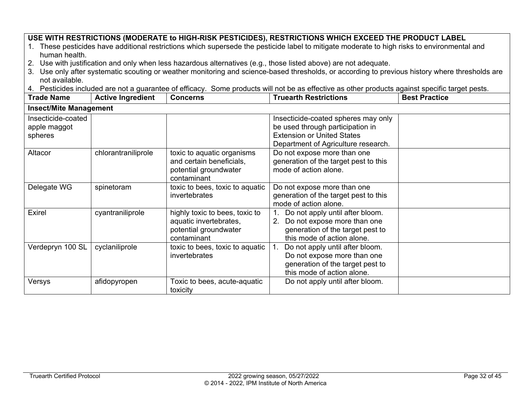#### **USE WITH RESTRICTIONS (MODERATE to HIGH-RISK PESTICIDES), RESTRICTIONS WHICH EXCEED THE PRODUCT LABEL**

- 1. These pesticides have additional restrictions which supersede the pesticide label to mitigate moderate to high risks to environmental and human health.
- 2. Use with justification and only when less hazardous alternatives (e.g., those listed above) are not adequate.
- 3. Use only after systematic scouting or weather monitoring and science-based thresholds, or according to previous history where thresholds are not available.
- 4. Pesticides included are not a guarantee of efficacy. Some products will not be as effective as other products against specific target pests.

| <b>Trade Name</b>                             | <b>Active Ingredient</b> | <b>Concerns</b>                                                                                  | <b>Truearth Restrictions</b>                                                                                                                        | <b>Best Practice</b> |
|-----------------------------------------------|--------------------------|--------------------------------------------------------------------------------------------------|-----------------------------------------------------------------------------------------------------------------------------------------------------|----------------------|
| <b>Insect/Mite Management</b>                 |                          |                                                                                                  |                                                                                                                                                     |                      |
| Insecticide-coated<br>apple maggot<br>spheres |                          |                                                                                                  | Insecticide-coated spheres may only<br>be used through participation in<br><b>Extension or United States</b><br>Department of Agriculture research. |                      |
| Altacor                                       | chlorantraniliprole      | toxic to aquatic organisms<br>and certain beneficials,<br>potential groundwater<br>contaminant   | Do not expose more than one<br>generation of the target pest to this<br>mode of action alone.                                                       |                      |
| Delegate WG                                   | spinetoram               | toxic to bees, toxic to aquatic<br><i>invertebrates</i>                                          | Do not expose more than one<br>generation of the target pest to this<br>mode of action alone.                                                       |                      |
| <b>Exirel</b>                                 | cyantraniliprole         | highly toxic to bees, toxic to<br>aquatic invertebrates,<br>potential groundwater<br>contaminant | 1. Do not apply until after bloom.<br>Do not expose more than one<br>2.<br>generation of the target pest to<br>this mode of action alone.           |                      |
| Verdepryn 100 SL                              | cyclaniliprole           | toxic to bees, toxic to aquatic<br><i>invertebrates</i>                                          | Do not apply until after bloom.<br>Do not expose more than one<br>generation of the target pest to<br>this mode of action alone.                    |                      |
| Versys                                        | afidopyropen             | Toxic to bees, acute-aquatic<br>toxicity                                                         | Do not apply until after bloom.                                                                                                                     |                      |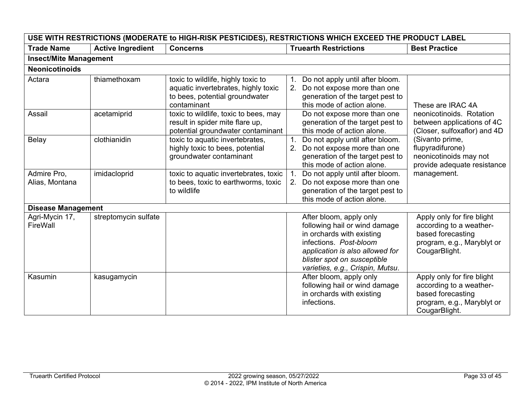| USE WITH RESTRICTIONS (MODERATE to HIGH-RISK PESTICIDES), RESTRICTIONS WHICH EXCEED THE PRODUCT LABEL |                          |                                                                                                                            |                                                                                                                                                                                                                       |                                                                                                                           |
|-------------------------------------------------------------------------------------------------------|--------------------------|----------------------------------------------------------------------------------------------------------------------------|-----------------------------------------------------------------------------------------------------------------------------------------------------------------------------------------------------------------------|---------------------------------------------------------------------------------------------------------------------------|
| <b>Trade Name</b>                                                                                     | <b>Active Ingredient</b> | <b>Concerns</b>                                                                                                            | <b>Truearth Restrictions</b>                                                                                                                                                                                          | <b>Best Practice</b>                                                                                                      |
| <b>Insect/Mite Management</b>                                                                         |                          |                                                                                                                            |                                                                                                                                                                                                                       |                                                                                                                           |
| <b>Neonicotinoids</b>                                                                                 |                          |                                                                                                                            |                                                                                                                                                                                                                       |                                                                                                                           |
| Actara                                                                                                | thiamethoxam             | toxic to wildlife, highly toxic to<br>aquatic invertebrates, highly toxic<br>to bees, potential groundwater<br>contaminant | Do not apply until after bloom.<br>1.<br>Do not expose more than one<br>2 <sup>1</sup><br>generation of the target pest to<br>this mode of action alone.                                                              | These are IRAC 4A                                                                                                         |
| Assail                                                                                                | acetamiprid              | toxic to wildlife, toxic to bees, may<br>result in spider mite flare up,<br>potential groundwater contaminant              | Do not expose more than one<br>generation of the target pest to<br>this mode of action alone.                                                                                                                         | neonicotinoids. Rotation<br>between applications of 4C<br>(Closer, sulfoxaflor) and 4D                                    |
| Belay                                                                                                 | clothianidin             | toxic to aquatic invertebrates,<br>highly toxic to bees, potential<br>groundwater contaminant                              | Do not apply until after bloom.<br>Do not expose more than one<br>2.<br>generation of the target pest to<br>this mode of action alone.                                                                                | (Sivanto prime,<br>flupyradifurone)<br>neonicotinoids may not<br>provide adequate resistance                              |
| Admire Pro,<br>Alias, Montana                                                                         | imidacloprid             | toxic to aquatic invertebrates, toxic<br>to bees, toxic to earthworms, toxic<br>to wildlife                                | Do not apply until after bloom.<br>1.<br>Do not expose more than one<br>$2_{-}$<br>generation of the target pest to<br>this mode of action alone.                                                                     | management.                                                                                                               |
| Disease Management                                                                                    |                          |                                                                                                                            |                                                                                                                                                                                                                       |                                                                                                                           |
| Agri-Mycin 17,<br>FireWall                                                                            | streptomycin sulfate     |                                                                                                                            | After bloom, apply only<br>following hail or wind damage<br>in orchards with existing<br>infections. Post-bloom<br>application is also allowed for<br>blister spot on susceptible<br>varieties, e.g., Crispin, Mutsu. | Apply only for fire blight<br>according to a weather-<br>based forecasting<br>program, e.g., Maryblyt or<br>CougarBlight. |
| Kasumin                                                                                               | kasugamycin              |                                                                                                                            | After bloom, apply only<br>following hail or wind damage<br>in orchards with existing<br>infections.                                                                                                                  | Apply only for fire blight<br>according to a weather-<br>based forecasting<br>program, e.g., Maryblyt or<br>CougarBlight. |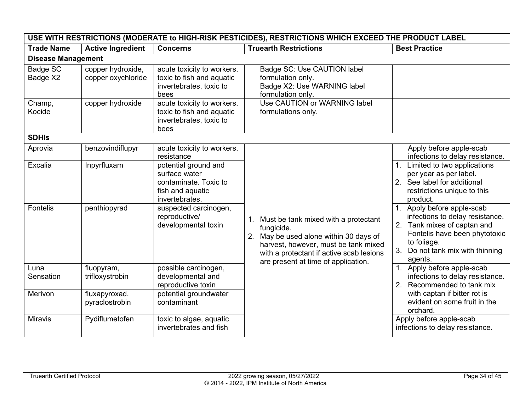| USE WITH RESTRICTIONS (MODERATE to HIGH-RISK PESTICIDES), RESTRICTIONS WHICH EXCEED THE PRODUCT LABEL |                                                 |                                                                                                                                                                                                                   |                                                                                                                                                                                                                            |                                                                                                                                                                                                                                                                                                                                                                                                 |
|-------------------------------------------------------------------------------------------------------|-------------------------------------------------|-------------------------------------------------------------------------------------------------------------------------------------------------------------------------------------------------------------------|----------------------------------------------------------------------------------------------------------------------------------------------------------------------------------------------------------------------------|-------------------------------------------------------------------------------------------------------------------------------------------------------------------------------------------------------------------------------------------------------------------------------------------------------------------------------------------------------------------------------------------------|
| <b>Trade Name</b>                                                                                     | <b>Active Ingredient</b>                        | <b>Concerns</b>                                                                                                                                                                                                   | <b>Truearth Restrictions</b>                                                                                                                                                                                               | <b>Best Practice</b>                                                                                                                                                                                                                                                                                                                                                                            |
| <b>Disease Management</b>                                                                             |                                                 |                                                                                                                                                                                                                   |                                                                                                                                                                                                                            |                                                                                                                                                                                                                                                                                                                                                                                                 |
| Badge SC<br>Badge X2                                                                                  | copper hydroxide,<br>copper oxychloride         | acute toxicity to workers,<br>toxic to fish and aquatic<br>invertebrates, toxic to<br>bees                                                                                                                        | Badge SC: Use CAUTION label<br>formulation only.<br>Badge X2: Use WARNING label<br>formulation only.                                                                                                                       |                                                                                                                                                                                                                                                                                                                                                                                                 |
| Champ,<br>Kocide                                                                                      | copper hydroxide                                | acute toxicity to workers,<br>toxic to fish and aquatic<br>invertebrates, toxic to<br>bees                                                                                                                        | Use CAUTION or WARNING label<br>formulations only.                                                                                                                                                                         |                                                                                                                                                                                                                                                                                                                                                                                                 |
| <b>SDHIS</b>                                                                                          |                                                 |                                                                                                                                                                                                                   |                                                                                                                                                                                                                            |                                                                                                                                                                                                                                                                                                                                                                                                 |
| Aprovia<br>Excalia<br>Fontelis                                                                        | benzovindiflupyr<br>Inpyrfluxam<br>penthiopyrad | acute toxicity to workers,<br>resistance<br>potential ground and<br>surface water<br>contaminate. Toxic to<br>fish and aquatic<br>invertebrates.<br>suspected carcinogen,<br>reproductive/<br>developmental toxin | 1. Must be tank mixed with a protectant<br>fungicide.<br>2. May be used alone within 30 days of<br>harvest, however, must be tank mixed<br>with a protectant if active scab lesions<br>are present at time of application. | Apply before apple-scab<br>infections to delay resistance.<br>Limited to two applications<br>per year as per label.<br>2. See label for additional<br>restrictions unique to this<br>product.<br>1. Apply before apple-scab<br>infections to delay resistance.<br>2. Tank mixes of captan and<br>Fontelis have been phytotoxic<br>to foliage.<br>3.<br>Do not tank mix with thinning<br>agents. |
| Luna<br>Sensation<br>Merivon                                                                          | fluopyram,<br>trifloxystrobin<br>fluxapyroxad,  | possible carcinogen,<br>developmental and<br>reproductive toxin<br>potential groundwater                                                                                                                          |                                                                                                                                                                                                                            | Apply before apple-scab<br>infections to delay resistance.<br>2. Recommended to tank mix<br>with captan if bitter rot is                                                                                                                                                                                                                                                                        |
| <b>Miravis</b>                                                                                        | pyraclostrobin<br>Pydiflumetofen                | contaminant<br>toxic to algae, aquatic<br>invertebrates and fish                                                                                                                                                  |                                                                                                                                                                                                                            | evident on some fruit in the<br>orchard.<br>Apply before apple-scab<br>infections to delay resistance.                                                                                                                                                                                                                                                                                          |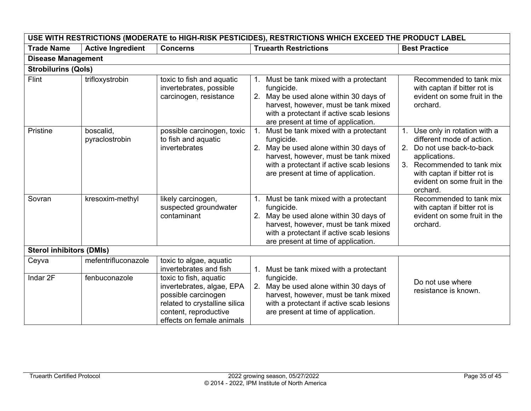| USE WITH RESTRICTIONS (MODERATE to HIGH-RISK PESTICIDES), RESTRICTIONS WHICH EXCEED THE PRODUCT LABEL |                             |                                                                                                                                                                   |                                                                                                                                                                                                                            |                                                                                                                                                                                                                   |
|-------------------------------------------------------------------------------------------------------|-----------------------------|-------------------------------------------------------------------------------------------------------------------------------------------------------------------|----------------------------------------------------------------------------------------------------------------------------------------------------------------------------------------------------------------------------|-------------------------------------------------------------------------------------------------------------------------------------------------------------------------------------------------------------------|
| <b>Trade Name</b>                                                                                     | <b>Active Ingredient</b>    | <b>Concerns</b>                                                                                                                                                   | <b>Truearth Restrictions</b>                                                                                                                                                                                               | <b>Best Practice</b>                                                                                                                                                                                              |
| <b>Disease Management</b>                                                                             |                             |                                                                                                                                                                   |                                                                                                                                                                                                                            |                                                                                                                                                                                                                   |
| <b>Strobilurins (Qols)</b>                                                                            |                             |                                                                                                                                                                   |                                                                                                                                                                                                                            |                                                                                                                                                                                                                   |
| Flint                                                                                                 | trifloxystrobin             | toxic to fish and aquatic<br>invertebrates, possible<br>carcinogen, resistance                                                                                    | 1. Must be tank mixed with a protectant<br>fungicide.<br>2. May be used alone within 30 days of<br>harvest, however, must be tank mixed<br>with a protectant if active scab lesions<br>are present at time of application. | Recommended to tank mix<br>with captan if bitter rot is<br>evident on some fruit in the<br>orchard.                                                                                                               |
| Pristine                                                                                              | boscalid,<br>pyraclostrobin | possible carcinogen, toxic<br>to fish and aquatic<br>invertebrates                                                                                                | Must be tank mixed with a protectant<br>fungicide.<br>2. May be used alone within 30 days of<br>harvest, however, must be tank mixed<br>with a protectant if active scab lesions<br>are present at time of application.    | Use only in rotation with a<br>different mode of action.<br>2. Do not use back-to-back<br>applications.<br>3. Recommended to tank mix<br>with captan if bitter rot is<br>evident on some fruit in the<br>orchard. |
| Sovran                                                                                                | kresoxim-methyl             | likely carcinogen,<br>suspected groundwater<br>contaminant                                                                                                        | 1. Must be tank mixed with a protectant<br>fungicide.<br>2. May be used alone within 30 days of<br>harvest, however, must be tank mixed<br>with a protectant if active scab lesions<br>are present at time of application. | Recommended to tank mix<br>with captan if bitter rot is<br>evident on some fruit in the<br>orchard.                                                                                                               |
| <b>Sterol inhibitors (DMIs)</b>                                                                       |                             |                                                                                                                                                                   |                                                                                                                                                                                                                            |                                                                                                                                                                                                                   |
| Ceyva                                                                                                 | mefentrifluconazole         | toxic to algae, aquatic<br>invertebrates and fish                                                                                                                 | 1. Must be tank mixed with a protectant                                                                                                                                                                                    |                                                                                                                                                                                                                   |
| Indar 2F                                                                                              | fenbuconazole               | toxic to fish, aquatic<br>invertebrates, algae, EPA<br>possible carcinogen<br>related to crystalline silica<br>content, reproductive<br>effects on female animals | fungicide.<br>2. May be used alone within 30 days of<br>harvest, however, must be tank mixed<br>with a protectant if active scab lesions<br>are present at time of application.                                            | Do not use where<br>resistance is known.                                                                                                                                                                          |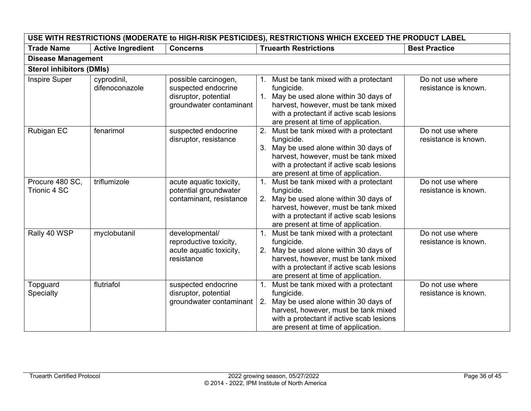| USE WITH RESTRICTIONS (MODERATE to HIGH-RISK PESTICIDES), RESTRICTIONS WHICH EXCEED THE PRODUCT LABEL |                               |                                                                                                |                                                                                                                                                                                                                                  |                                          |
|-------------------------------------------------------------------------------------------------------|-------------------------------|------------------------------------------------------------------------------------------------|----------------------------------------------------------------------------------------------------------------------------------------------------------------------------------------------------------------------------------|------------------------------------------|
| <b>Trade Name</b>                                                                                     | <b>Active Ingredient</b>      | <b>Concerns</b>                                                                                | <b>Truearth Restrictions</b>                                                                                                                                                                                                     | <b>Best Practice</b>                     |
| <b>Disease Management</b>                                                                             |                               |                                                                                                |                                                                                                                                                                                                                                  |                                          |
| <b>Sterol inhibitors (DMIs)</b>                                                                       |                               |                                                                                                |                                                                                                                                                                                                                                  |                                          |
| Inspire Super                                                                                         | cyprodinil,<br>difenoconazole | possible carcinogen,<br>suspected endocrine<br>disruptor, potential<br>groundwater contaminant | 1. Must be tank mixed with a protectant<br>fungicide.<br>1. May be used alone within 30 days of<br>harvest, however, must be tank mixed<br>with a protectant if active scab lesions<br>are present at time of application.       | Do not use where<br>resistance is known. |
| Rubigan EC                                                                                            | fenarimol                     | suspected endocrine<br>disruptor, resistance                                                   | 2. Must be tank mixed with a protectant<br>fungicide.<br>3. May be used alone within 30 days of<br>harvest, however, must be tank mixed<br>with a protectant if active scab lesions<br>are present at time of application.       | Do not use where<br>resistance is known. |
| Procure 480 SC,<br>Trionic 4 SC                                                                       | triflumizole                  | acute aquatic toxicity,<br>potential groundwater<br>contaminant, resistance                    | 1. Must be tank mixed with a protectant<br>fungicide.<br>2. May be used alone within 30 days of<br>harvest, however, must be tank mixed<br>with a protectant if active scab lesions<br>are present at time of application.       | Do not use where<br>resistance is known. |
| Rally 40 WSP                                                                                          | myclobutanil                  | developmental/<br>reproductive toxicity,<br>acute aquatic toxicity,<br>resistance              | Must be tank mixed with a protectant<br>fungicide.<br>2. May be used alone within 30 days of<br>harvest, however, must be tank mixed<br>with a protectant if active scab lesions<br>are present at time of application.          | Do not use where<br>resistance is known. |
| Topguard<br>Specialty                                                                                 | flutriafol                    | suspected endocrine<br>disruptor, potential<br>groundwater contaminant                         | Must be tank mixed with a protectant<br>1.<br>fungicide.<br>May be used alone within 30 days of<br>2.<br>harvest, however, must be tank mixed<br>with a protectant if active scab lesions<br>are present at time of application. | Do not use where<br>resistance is known. |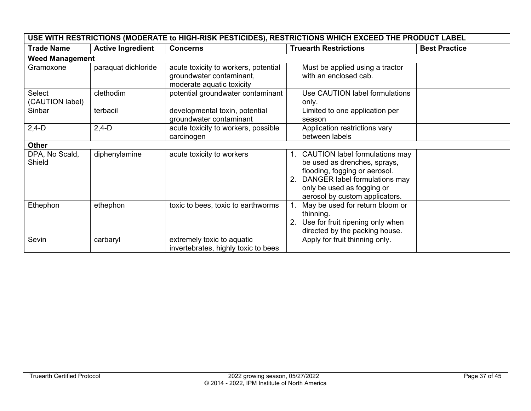|                           | USE WITH RESTRICTIONS (MODERATE to HIGH-RISK PESTICIDES), RESTRICTIONS WHICH EXCEED THE PRODUCT LABEL |                                                                                               |                                                                                                                                                                                                         |                      |  |
|---------------------------|-------------------------------------------------------------------------------------------------------|-----------------------------------------------------------------------------------------------|---------------------------------------------------------------------------------------------------------------------------------------------------------------------------------------------------------|----------------------|--|
| <b>Trade Name</b>         | <b>Active Ingredient</b>                                                                              | <b>Concerns</b>                                                                               | <b>Truearth Restrictions</b>                                                                                                                                                                            | <b>Best Practice</b> |  |
| <b>Weed Management</b>    |                                                                                                       |                                                                                               |                                                                                                                                                                                                         |                      |  |
| Gramoxone                 | paraquat dichloride                                                                                   | acute toxicity to workers, potential<br>groundwater contaminant,<br>moderate aquatic toxicity | Must be applied using a tractor<br>with an enclosed cab.                                                                                                                                                |                      |  |
| Select<br>(CAUTION label) | clethodim                                                                                             | potential groundwater contaminant                                                             | Use CAUTION label formulations<br>only.                                                                                                                                                                 |                      |  |
| Sinbar                    | terbacil                                                                                              | developmental toxin, potential<br>groundwater contaminant                                     | Limited to one application per<br>season                                                                                                                                                                |                      |  |
| $2,4-D$                   | $2,4-D$                                                                                               | acute toxicity to workers, possible<br>carcinogen                                             | Application restrictions vary<br>between labels                                                                                                                                                         |                      |  |
| <b>Other</b>              |                                                                                                       |                                                                                               |                                                                                                                                                                                                         |                      |  |
| DPA, No Scald,<br>Shield  | diphenylamine                                                                                         | acute toxicity to workers                                                                     | <b>CAUTION label formulations may</b><br>be used as drenches, sprays,<br>flooding, fogging or aerosol.<br>DANGER label formulations may<br>only be used as fogging or<br>aerosol by custom applicators. |                      |  |
| Ethephon                  | ethephon                                                                                              | toxic to bees, toxic to earthworms                                                            | May be used for return bloom or<br>thinning.<br>Use for fruit ripening only when<br>directed by the packing house.                                                                                      |                      |  |
| Sevin                     | carbaryl                                                                                              | extremely toxic to aquatic<br>invertebrates, highly toxic to bees                             | Apply for fruit thinning only.                                                                                                                                                                          |                      |  |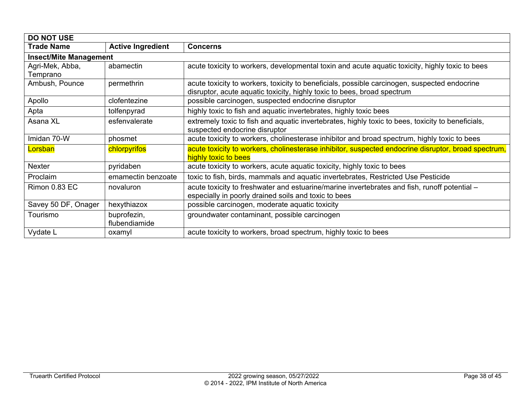| <b>DO NOT USE</b>             |                          |                                                                                                     |  |  |
|-------------------------------|--------------------------|-----------------------------------------------------------------------------------------------------|--|--|
| <b>Trade Name</b>             | <b>Active Ingredient</b> | <b>Concerns</b>                                                                                     |  |  |
| <b>Insect/Mite Management</b> |                          |                                                                                                     |  |  |
| Agri-Mek, Abba,               | abamectin                | acute toxicity to workers, developmental toxin and acute aquatic toxicity, highly toxic to bees     |  |  |
| Temprano                      |                          |                                                                                                     |  |  |
| Ambush, Pounce                | permethrin               | acute toxicity to workers, toxicity to beneficials, possible carcinogen, suspected endocrine        |  |  |
|                               |                          | disruptor, acute aquatic toxicity, highly toxic to bees, broad spectrum                             |  |  |
| Apollo                        | clofentezine             | possible carcinogen, suspected endocrine disruptor                                                  |  |  |
| Apta                          | tolfenpyrad              | highly toxic to fish and aquatic invertebrates, highly toxic bees                                   |  |  |
| Asana XL                      | esfenvalerate            | extremely toxic to fish and aquatic invertebrates, highly toxic to bees, toxicity to beneficials,   |  |  |
|                               |                          | suspected endocrine disruptor                                                                       |  |  |
| Imidan 70-W                   | phosmet                  | acute toxicity to workers, cholinesterase inhibitor and broad spectrum, highly toxic to bees        |  |  |
| Lorsban                       | chlorpyrifos             | acute toxicity to workers, cholinesterase inhibitor, suspected endocrine disruptor, broad spectrum, |  |  |
|                               |                          | highly toxic to bees                                                                                |  |  |
| Nexter                        | pyridaben                | acute toxicity to workers, acute aquatic toxicity, highly toxic to bees                             |  |  |
| Proclaim                      | emamectin benzoate       | toxic to fish, birds, mammals and aquatic invertebrates, Restricted Use Pesticide                   |  |  |
| Rimon 0.83 EC                 | novaluron                | acute toxicity to freshwater and estuarine/marine invertebrates and fish, runoff potential –        |  |  |
|                               |                          | especially in poorly drained soils and toxic to bees                                                |  |  |
| Savey 50 DF, Onager           | hexythiazox              | possible carcinogen, moderate aquatic toxicity                                                      |  |  |
| Tourismo                      | buprofezin,              | groundwater contaminant, possible carcinogen                                                        |  |  |
|                               | flubendiamide            |                                                                                                     |  |  |
| Vydate L                      | oxamyl                   | acute toxicity to workers, broad spectrum, highly toxic to bees                                     |  |  |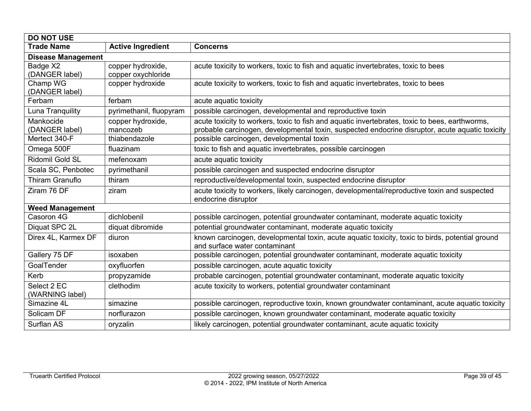| <b>DO NOT USE</b>                            |                                                |                                                                                                                                                                                                                                               |  |
|----------------------------------------------|------------------------------------------------|-----------------------------------------------------------------------------------------------------------------------------------------------------------------------------------------------------------------------------------------------|--|
| <b>Trade Name</b>                            | <b>Active Ingredient</b>                       | <b>Concerns</b>                                                                                                                                                                                                                               |  |
| <b>Disease Management</b>                    |                                                |                                                                                                                                                                                                                                               |  |
| Badge X2<br>(DANGER label)                   | copper hydroxide,<br>copper oxychloride        | acute toxicity to workers, toxic to fish and aquatic invertebrates, toxic to bees                                                                                                                                                             |  |
| Champ WG<br>(DANGER label)                   | copper hydroxide                               | acute toxicity to workers, toxic to fish and aquatic invertebrates, toxic to bees                                                                                                                                                             |  |
| Ferbam                                       | ferbam                                         | acute aquatic toxicity                                                                                                                                                                                                                        |  |
| Luna Tranquility                             | pyrimethanil, fluopyram                        | possible carcinogen, developmental and reproductive toxin                                                                                                                                                                                     |  |
| Mankocide<br>(DANGER label)<br>Mertect 340-F | copper hydroxide,<br>mancozeb<br>thiabendazole | acute toxicity to workers, toxic to fish and aquatic invertebrates, toxic to bees, earthworms,<br>probable carcinogen, developmental toxin, suspected endocrine disruptor, acute aquatic toxicity<br>possible carcinogen, developmental toxin |  |
| Omega 500F                                   | fluazinam                                      | toxic to fish and aquatic invertebrates, possible carcinogen                                                                                                                                                                                  |  |
| <b>Ridomil Gold SL</b>                       | mefenoxam                                      | acute aquatic toxicity                                                                                                                                                                                                                        |  |
| Scala SC, Penbotec                           | pyrimethanil                                   | possible carcinogen and suspected endocrine disruptor                                                                                                                                                                                         |  |
| <b>Thiram Granuflo</b>                       | thiram                                         | reproductive/developmental toxin, suspected endocrine disruptor                                                                                                                                                                               |  |
| Ziram 76 DF                                  | ziram                                          | acute toxicity to workers, likely carcinogen, developmental/reproductive toxin and suspected<br>endocrine disruptor                                                                                                                           |  |
| <b>Weed Management</b>                       |                                                |                                                                                                                                                                                                                                               |  |
| Casoron 4G                                   | dichlobenil                                    | possible carcinogen, potential groundwater contaminant, moderate aquatic toxicity                                                                                                                                                             |  |
| Diquat SPC 2L                                | diquat dibromide                               | potential groundwater contaminant, moderate aquatic toxicity                                                                                                                                                                                  |  |
| Direx 4L, Karmex DF                          | diuron                                         | known carcinogen, developmental toxin, acute aquatic toxicity, toxic to birds, potential ground<br>and surface water contaminant                                                                                                              |  |
| Gallery 75 DF                                | isoxaben                                       | possible carcinogen, potential groundwater contaminant, moderate aquatic toxicity                                                                                                                                                             |  |
| GoalTender                                   | oxyfluorfen                                    | possible carcinogen, acute aquatic toxicity                                                                                                                                                                                                   |  |
| Kerb                                         | propyzamide                                    | probable carcinogen, potential groundwater contaminant, moderate aquatic toxicity                                                                                                                                                             |  |
| Select 2 EC<br>(WARNING label)               | clethodim                                      | acute toxicity to workers, potential groundwater contaminant                                                                                                                                                                                  |  |
| Simazine 4L                                  | simazine                                       | possible carcinogen, reproductive toxin, known groundwater contaminant, acute aquatic toxicity                                                                                                                                                |  |
| Solicam DF                                   | norflurazon                                    | possible carcinogen, known groundwater contaminant, moderate aquatic toxicity                                                                                                                                                                 |  |
| Surflan AS                                   | oryzalin                                       | likely carcinogen, potential groundwater contaminant, acute aquatic toxicity                                                                                                                                                                  |  |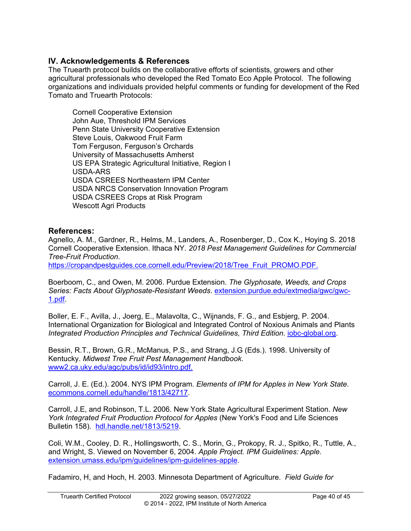# <span id="page-39-0"></span>**IV. Acknowledgements & References**

The Truearth protocol builds on the collaborative efforts of scientists, growers and other agricultural professionals who developed the Red Tomato Eco Apple Protocol. The following organizations and individuals provided helpful comments or funding for development of the Red Tomato and Truearth Protocols:

Cornell Cooperative Extension John Aue, Threshold IPM Services Penn State University Cooperative Extension Steve Louis, Oakwood Fruit Farm Tom Ferguson, Ferguson's Orchards University of Massachusetts Amherst US EPA Strategic Agricultural Initiative, Region I USDA-ARS USDA CSREES Northeastern IPM Center USDA NRCS Conservation Innovation Program USDA CSREES Crops at Risk Program Wescott Agri Products

# <span id="page-39-1"></span>**References:**

Agnello, A. M., Gardner, R., Helms, M., Landers, A., Rosenberger, D., Cox K., Hoying S. 2018 Cornell Cooperative Extension. Ithaca NY. *2018 Pest Management Guidelines for Commercial Tree-Fruit Production*.

https://cropandpestguides.cce.cornell.edu/Preview/2018/Tree\_Fruit\_PROMO.PDF.

Boerboom, C., and Owen, M. 2006. Purdue Extension. *The Glyphosate, Weeds, and Crops Series: Facts About Glyphosate-Resistant Weeds*. [extension.purdue.edu/extmedia/gwc/gwc-](https://www.extension.purdue.edu/extmedia/gwc/gwc-1.pdf)[1.pdf.](https://www.extension.purdue.edu/extmedia/gwc/gwc-1.pdf)

Boller, E. F., Avilla, J., Joerg, E., Malavolta, C., Wijnands, F. G., and Esbjerg, P. 2004. International Organization for Biological and Integrated Control of Noxious Animals and Plants *Integrated Production Principles and Technical Guidelines, Third Edition*. [iobc-global.org.](http://www.iobc-global.org/)

Bessin, R.T., Brown, G.R., McManus, P.S., and Strang, J.G (Eds.). 1998. University of Kentucky. *Midwest Tree Fruit Pest Management Handbook.*  [www2.ca.uky.edu/agc/pubs/id/id93/intro.pdf.](http://www2.ca.uky.edu/agc/pubs/id/id93/intro.pdf)

Carroll, J. E. (Ed.). 2004. NYS IPM Program. *Elements of IPM for Apples in New York State*. [ecommons.cornell.edu/handle/1813/42717.](https://ecommons.cornell.edu/handle/1813/42717)

Carroll, J.E, and Robinson, T.L. 2006. New York State Agricultural Experiment Station. *New York Integrated Fruit Production Protocol for Apples* (New York's Food and Life Sciences Bulletin 158). [hdl.handle.net/1813/5219.](http://hdl.handle.net/1813/5219)

Coli, W.M., Cooley, D. R., Hollingsworth, C. S., Morin, G., Prokopy, R. J., Spitko, R., Tuttle, A., and Wright, S. Viewed on November 6, 2004. *Apple Project. IPM Guidelines: Apple*. [extension.umass.edu/ipm/guidelines/ipm-guidelines-apple.](http://extension.umass.edu/ipm/guidelines/ipm-guidelines-apple)

Fadamiro, H, and Hoch, H. 2003. Minnesota Department of Agriculture. *Field Guide for*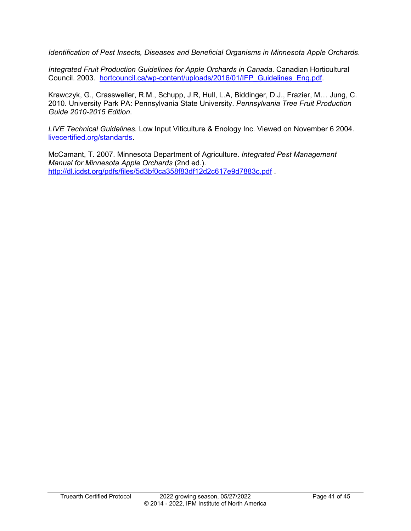*Identification of Pest Insects, Diseases and Beneficial Organisms in Minnesota Apple Orchards*.

*Integrated Fruit Production Guidelines for Apple Orchards in Canada*. Canadian Horticultural Council. 2003. [hortcouncil.ca/wp-content/uploads/2016/01/IFP\\_Guidelines\\_Eng.pdf.](https://www.hortcouncil.ca/wp-content/uploads/2016/01/IFP_Guidelines_Eng.pdf)

Krawczyk, G., Crassweller, R.M., Schupp, J.R, Hull, L.A, Biddinger, D.J., Frazier, M… Jung, C. 2010. University Park PA: Pennsylvania State University. *Pennsylvania Tree Fruit Production Guide 2010-2015 Edition*.

*LIVE Technical Guidelines.* Low Input Viticulture & Enology Inc. Viewed on November 6 2004. [livecertified.org/standards.](https://livecertified.org/standards)

McCamant, T. 2007. Minnesota Department of Agriculture. *Integrated Pest Management Manual for Minnesota Apple Orchards* (2nd ed.). <http://dl.icdst.org/pdfs/files/5d3bf0ca358f83df12d2c617e9d7883c.pdf> .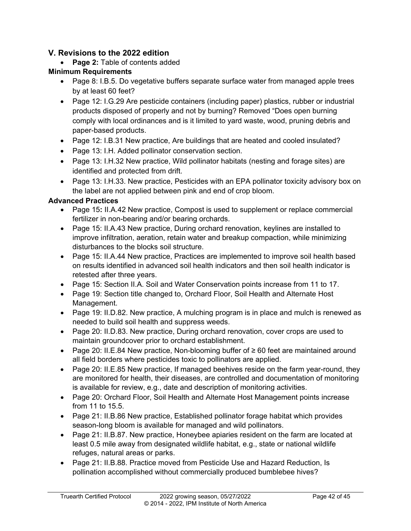# <span id="page-41-0"></span>**V. Revisions to the 2022 edition**

• **Page 2:** Table of contents added

### **Minimum Requirements**

- Page 8: I.B.5. Do vegetative buffers separate surface water from managed apple trees by at least 60 feet?
- Page 12: I.G.29 Are pesticide containers (including paper) plastics, rubber or industrial products disposed of properly and not by burning? Removed "Does open burning comply with local ordinances and is it limited to yard waste, wood, pruning debris and paper-based products.
- Page 12: I.B.31 New practice, Are buildings that are heated and cooled insulated?
- Page 13: I.H. Added pollinator conservation section.
- Page 13: I.H.32 New practice, Wild pollinator habitats (nesting and forage sites) are identified and protected from drift.
- Page 13: I.H.33. New practice, Pesticides with an EPA pollinator toxicity advisory box on the label are not applied between pink and end of crop bloom.

#### **Advanced Practices**

- Page 15**:** II.A.42 New practice, Compost is used to supplement or replace commercial fertilizer in non-bearing and/or bearing orchards.
- Page 15: II.A.43 New practice, During orchard renovation, keylines are installed to improve infiltration, aeration, retain water and breakup compaction, while minimizing disturbances to the blocks soil structure.
- Page 15: II.A.44 New practice, Practices are implemented to improve soil health based on results identified in advanced soil health indicators and then soil health indicator is retested after three years.
- Page 15: Section II.A. Soil and Water Conservation points increase from 11 to 17.
- Page 19: Section title changed to, Orchard Floor, Soil Health and Alternate Host Management.
- Page 19: II.D.82. New practice, A mulching program is in place and mulch is renewed as needed to build soil health and suppress weeds.
- Page 20: II.D.83. New practice, During orchard renovation, cover crops are used to maintain groundcover prior to orchard establishment.
- Page 20: II.E.84 New practice, Non-blooming buffer of ≥ 60 feet are maintained around all field borders where pesticides toxic to pollinators are applied.
- Page 20: II.E.85 New practice, If managed beehives reside on the farm year-round, they are monitored for health, their diseases, are controlled and documentation of monitoring is available for review, e.g., date and description of monitoring activities.
- Page 20: Orchard Floor, Soil Health and Alternate Host Management points increase from 11 to 15.5.
- Page 21: II.B.86 New practice, Established pollinator forage habitat which provides season-long bloom is available for managed and wild pollinators.
- Page 21: II.B.87. New practice, Honeybee apiaries resident on the farm are located at least 0.5 mile away from designated wildlife habitat, e.g., state or national wildlife refuges, natural areas or parks.
- Page 21: II.B.88. Practice moved from Pesticide Use and Hazard Reduction, Is pollination accomplished without commercially produced bumblebee hives?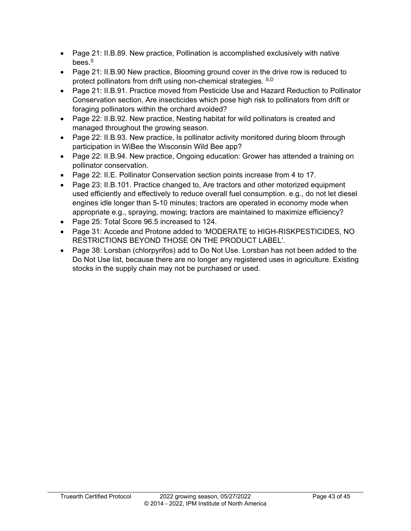- Page 21: II.B.89. New practice, Pollination is accomplished exclusively with native bees.<sup>S</sup>
- Page 21: II.B.90 New practice, Blooming ground cover in the drive row is reduced to protect pollinators from drift using non-chemical strategies. S,D
- Page 21: II.B.91. Practice moved from Pesticide Use and Hazard Reduction to Pollinator Conservation section, Are insecticides which pose high risk to pollinators from drift or foraging pollinators within the orchard avoided?
- Page 22: II.B.92. New practice, Nesting habitat for wild pollinators is created and managed throughout the growing season.
- Page 22: II.B.93. New practice, Is pollinator activity monitored during bloom through participation in WiBee the Wisconsin Wild Bee app?
- Page 22: II.B.94. New practice, Ongoing education: Grower has attended a training on pollinator conservation.
- Page 22: II.E. Pollinator Conservation section points increase from 4 to 17.
- Page 23: II.B.101. Practice changed to, Are tractors and other motorized equipment used efficiently and effectively to reduce overall fuel consumption. e.g., do not let diesel engines idle longer than 5-10 minutes; tractors are operated in economy mode when appropriate e.g., spraying, mowing; tractors are maintained to maximize efficiency?
- Page 25: Total Score 96.5 increased to 124.
- Page 31: Accede and Protone added to 'MODERATE to HIGH-RISKPESTICIDES, NO RESTRICTIONS BEYOND THOSE ON THE PRODUCT LABEL'.
- Page 38: Lorsban (chlorpyrifos) add to Do Not Use. Lorsban has not been added to the Do Not Use list, because there are no longer any registered uses in agriculture. Existing stocks in the supply chain may not be purchased or used.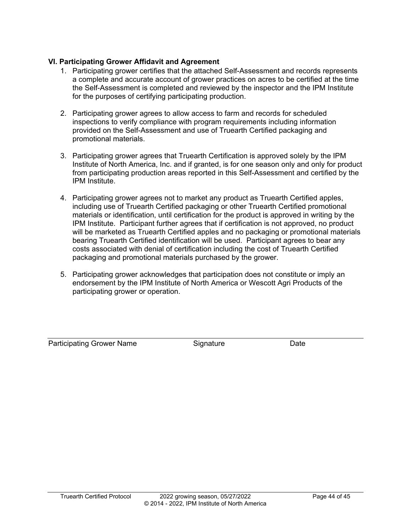#### **VI. Participating Grower Affidavit and Agreement**

- 1. Participating grower certifies that the attached Self-Assessment and records represents a complete and accurate account of grower practices on acres to be certified at the time the Self-Assessment is completed and reviewed by the inspector and the IPM Institute for the purposes of certifying participating production.
- 2. Participating grower agrees to allow access to farm and records for scheduled inspections to verify compliance with program requirements including information provided on the Self-Assessment and use of Truearth Certified packaging and promotional materials.
- 3. Participating grower agrees that Truearth Certification is approved solely by the IPM Institute of North America, Inc. and if granted, is for one season only and only for product from participating production areas reported in this Self-Assessment and certified by the IPM Institute.
- 4. Participating grower agrees not to market any product as Truearth Certified apples, including use of Truearth Certified packaging or other Truearth Certified promotional materials or identification, until certification for the product is approved in writing by the IPM Institute. Participant further agrees that if certification is not approved, no product will be marketed as Truearth Certified apples and no packaging or promotional materials bearing Truearth Certified identification will be used. Participant agrees to bear any costs associated with denial of certification including the cost of Truearth Certified packaging and promotional materials purchased by the grower.
- 5. Participating grower acknowledges that participation does not constitute or imply an endorsement by the IPM Institute of North America or Wescott Agri Products of the participating grower or operation.

Participating Grower Name **Signature** Signature Date